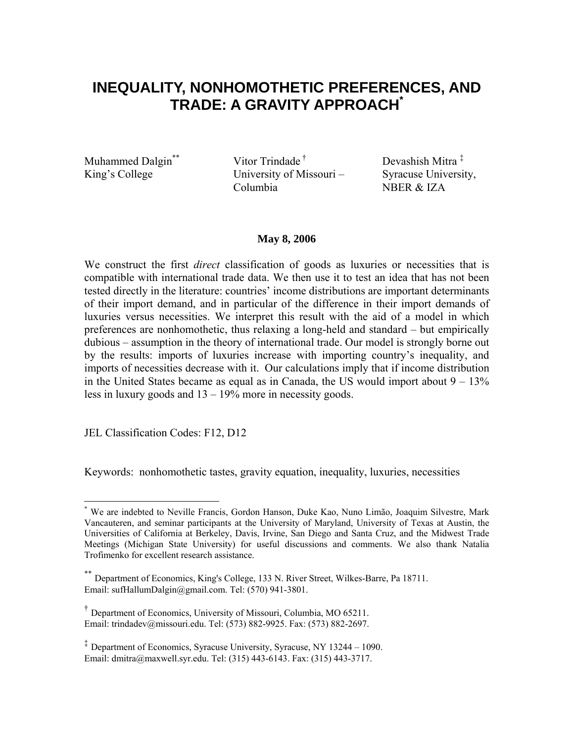# **INEQUALITY, NONHOMOTHETIC PREFERENCES, AND TRADE: A GRAVITY APPROACH\***

Muhammed Dalgin<sup>\*\*</sup> Vitor Trindade <sup>†</sup> Devashish Mitra  $\frac{1}{k}$ King's College University of Missouri – Columbia

Syracuse University, NBER & IZA

### **May 8, 2006**

We construct the first *direct* classification of goods as luxuries or necessities that is compatible with international trade data. We then use it to test an idea that has not been tested directly in the literature: countries' income distributions are important determinants of their import demand, and in particular of the difference in their import demands of luxuries versus necessities. We interpret this result with the aid of a model in which preferences are nonhomothetic, thus relaxing a long-held and standard – but empirically dubious – assumption in the theory of international trade. Our model is strongly borne out by the results: imports of luxuries increase with importing country's inequality, and imports of necessities decrease with it. Our calculations imply that if income distribution in the United States became as equal as in Canada, the US would import about  $9 - 13\%$ less in luxury goods and 13 – 19% more in necessity goods.

JEL Classification Codes: F12, D12

Keywords: nonhomothetic tastes, gravity equation, inequality, luxuries, necessities

<sup>1</sup> \* We are indebted to Neville Francis, Gordon Hanson, Duke Kao, Nuno Limão, Joaquim Silvestre, Mark Vancauteren, and seminar participants at the University of Maryland, University of Texas at Austin, the Universities of California at Berkeley, Davis, Irvine, San Diego and Santa Cruz, and the Midwest Trade Meetings (Michigan State University) for useful discussions and comments. We also thank Natalia Trofimenko for excellent research assistance.

Department of Economics, King's College, 133 N. River Street, Wilkes-Barre, Pa 18711. Email: sufHallumDalgin@gmail.com. Tel: (570) 941-3801.

<sup>†</sup> Department of Economics, University of Missouri, Columbia, MO 65211. Email: trindadev@missouri.edu. Tel: (573) 882-9925. Fax: (573) 882-2697.

<sup>‡</sup> Department of Economics, Syracuse University, Syracuse, NY 13244 – 1090. Email: dmitra@maxwell.syr.edu. Tel: (315) 443-6143. Fax: (315) 443-3717.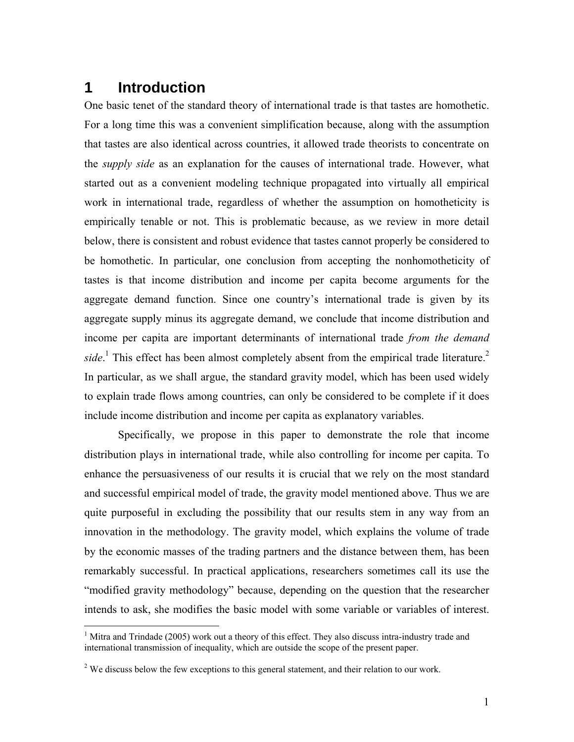## **1 Introduction**

<u>.</u>

One basic tenet of the standard theory of international trade is that tastes are homothetic. For a long time this was a convenient simplification because, along with the assumption that tastes are also identical across countries, it allowed trade theorists to concentrate on the *supply side* as an explanation for the causes of international trade. However, what started out as a convenient modeling technique propagated into virtually all empirical work in international trade, regardless of whether the assumption on homotheticity is empirically tenable or not. This is problematic because, as we review in more detail below, there is consistent and robust evidence that tastes cannot properly be considered to be homothetic. In particular, one conclusion from accepting the nonhomotheticity of tastes is that income distribution and income per capita become arguments for the aggregate demand function. Since one country's international trade is given by its aggregate supply minus its aggregate demand, we conclude that income distribution and income per capita are important determinants of international trade *from the demand*  side.<sup>1</sup> This effect has been almost completely absent from the empirical trade literature.<sup>2</sup> In particular, as we shall argue, the standard gravity model, which has been used widely to explain trade flows among countries, can only be considered to be complete if it does include income distribution and income per capita as explanatory variables.

Specifically, we propose in this paper to demonstrate the role that income distribution plays in international trade, while also controlling for income per capita. To enhance the persuasiveness of our results it is crucial that we rely on the most standard and successful empirical model of trade, the gravity model mentioned above. Thus we are quite purposeful in excluding the possibility that our results stem in any way from an innovation in the methodology. The gravity model, which explains the volume of trade by the economic masses of the trading partners and the distance between them, has been remarkably successful. In practical applications, researchers sometimes call its use the "modified gravity methodology" because, depending on the question that the researcher intends to ask, she modifies the basic model with some variable or variables of interest.

<sup>&</sup>lt;sup>1</sup> Mitra and Trindade (2005) work out a theory of this effect. They also discuss intra-industry trade and international transmission of inequality, which are outside the scope of the present paper.

 $2^2$  We discuss below the few exceptions to this general statement, and their relation to our work.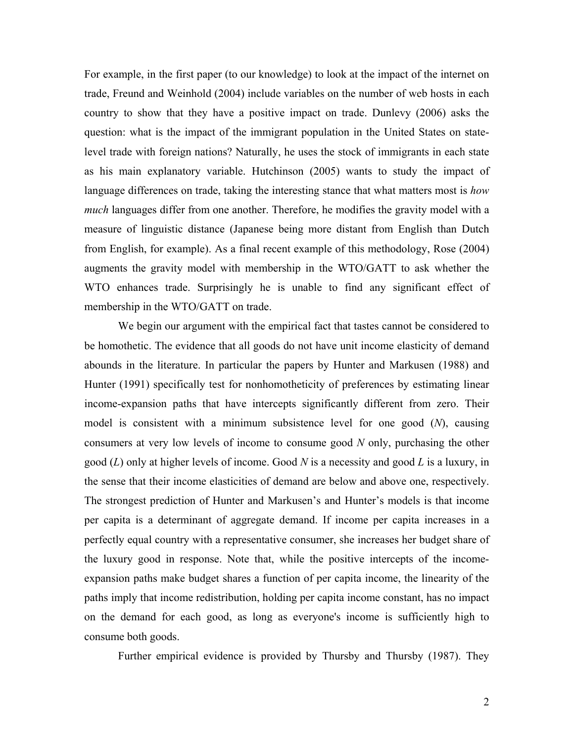For example, in the first paper (to our knowledge) to look at the impact of the internet on trade, Freund and Weinhold (2004) include variables on the number of web hosts in each country to show that they have a positive impact on trade. Dunlevy (2006) asks the question: what is the impact of the immigrant population in the United States on statelevel trade with foreign nations? Naturally, he uses the stock of immigrants in each state as his main explanatory variable. Hutchinson (2005) wants to study the impact of language differences on trade, taking the interesting stance that what matters most is *how much* languages differ from one another. Therefore, he modifies the gravity model with a measure of linguistic distance (Japanese being more distant from English than Dutch from English, for example). As a final recent example of this methodology, Rose (2004) augments the gravity model with membership in the WTO/GATT to ask whether the WTO enhances trade. Surprisingly he is unable to find any significant effect of membership in the WTO/GATT on trade.

 We begin our argument with the empirical fact that tastes cannot be considered to be homothetic. The evidence that all goods do not have unit income elasticity of demand abounds in the literature. In particular the papers by Hunter and Markusen (1988) and Hunter (1991) specifically test for nonhomotheticity of preferences by estimating linear income-expansion paths that have intercepts significantly different from zero. Their model is consistent with a minimum subsistence level for one good (*N*), causing consumers at very low levels of income to consume good *N* only, purchasing the other good (*L*) only at higher levels of income. Good *N* is a necessity and good *L* is a luxury, in the sense that their income elasticities of demand are below and above one, respectively. The strongest prediction of Hunter and Markusen's and Hunter's models is that income per capita is a determinant of aggregate demand. If income per capita increases in a perfectly equal country with a representative consumer, she increases her budget share of the luxury good in response. Note that, while the positive intercepts of the incomeexpansion paths make budget shares a function of per capita income, the linearity of the paths imply that income redistribution, holding per capita income constant, has no impact on the demand for each good, as long as everyone's income is sufficiently high to consume both goods.

Further empirical evidence is provided by Thursby and Thursby (1987). They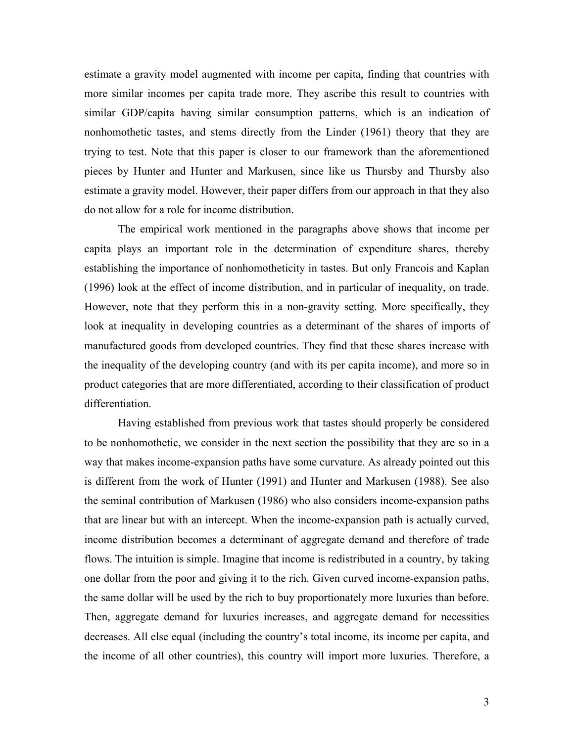estimate a gravity model augmented with income per capita, finding that countries with more similar incomes per capita trade more. They ascribe this result to countries with similar GDP/capita having similar consumption patterns, which is an indication of nonhomothetic tastes, and stems directly from the Linder (1961) theory that they are trying to test. Note that this paper is closer to our framework than the aforementioned pieces by Hunter and Hunter and Markusen, since like us Thursby and Thursby also estimate a gravity model. However, their paper differs from our approach in that they also do not allow for a role for income distribution.

The empirical work mentioned in the paragraphs above shows that income per capita plays an important role in the determination of expenditure shares, thereby establishing the importance of nonhomotheticity in tastes. But only Francois and Kaplan (1996) look at the effect of income distribution, and in particular of inequality, on trade. However, note that they perform this in a non-gravity setting. More specifically, they look at inequality in developing countries as a determinant of the shares of imports of manufactured goods from developed countries. They find that these shares increase with the inequality of the developing country (and with its per capita income), and more so in product categories that are more differentiated, according to their classification of product differentiation.

Having established from previous work that tastes should properly be considered to be nonhomothetic, we consider in the next section the possibility that they are so in a way that makes income-expansion paths have some curvature. As already pointed out this is different from the work of Hunter (1991) and Hunter and Markusen (1988). See also the seminal contribution of Markusen (1986) who also considers income-expansion paths that are linear but with an intercept. When the income-expansion path is actually curved, income distribution becomes a determinant of aggregate demand and therefore of trade flows. The intuition is simple. Imagine that income is redistributed in a country, by taking one dollar from the poor and giving it to the rich. Given curved income-expansion paths, the same dollar will be used by the rich to buy proportionately more luxuries than before. Then, aggregate demand for luxuries increases, and aggregate demand for necessities decreases. All else equal (including the country's total income, its income per capita, and the income of all other countries), this country will import more luxuries. Therefore, a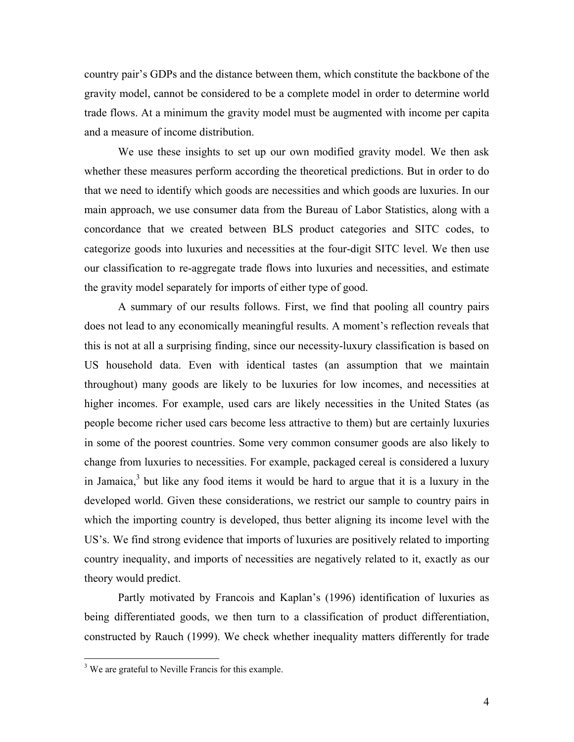country pair's GDPs and the distance between them, which constitute the backbone of the gravity model, cannot be considered to be a complete model in order to determine world trade flows. At a minimum the gravity model must be augmented with income per capita and a measure of income distribution.

We use these insights to set up our own modified gravity model. We then ask whether these measures perform according the theoretical predictions. But in order to do that we need to identify which goods are necessities and which goods are luxuries. In our main approach, we use consumer data from the Bureau of Labor Statistics, along with a concordance that we created between BLS product categories and SITC codes, to categorize goods into luxuries and necessities at the four-digit SITC level. We then use our classification to re-aggregate trade flows into luxuries and necessities, and estimate the gravity model separately for imports of either type of good.

A summary of our results follows. First, we find that pooling all country pairs does not lead to any economically meaningful results. A moment's reflection reveals that this is not at all a surprising finding, since our necessity-luxury classification is based on US household data. Even with identical tastes (an assumption that we maintain throughout) many goods are likely to be luxuries for low incomes, and necessities at higher incomes. For example, used cars are likely necessities in the United States (as people become richer used cars become less attractive to them) but are certainly luxuries in some of the poorest countries. Some very common consumer goods are also likely to change from luxuries to necessities. For example, packaged cereal is considered a luxury in Jamaica,<sup>3</sup> but like any food items it would be hard to argue that it is a luxury in the developed world. Given these considerations, we restrict our sample to country pairs in which the importing country is developed, thus better aligning its income level with the US's. We find strong evidence that imports of luxuries are positively related to importing country inequality, and imports of necessities are negatively related to it, exactly as our theory would predict.

Partly motivated by Francois and Kaplan's (1996) identification of luxuries as being differentiated goods, we then turn to a classification of product differentiation, constructed by Rauch (1999). We check whether inequality matters differently for trade

<u>.</u>

<sup>&</sup>lt;sup>3</sup> We are grateful to Neville Francis for this example.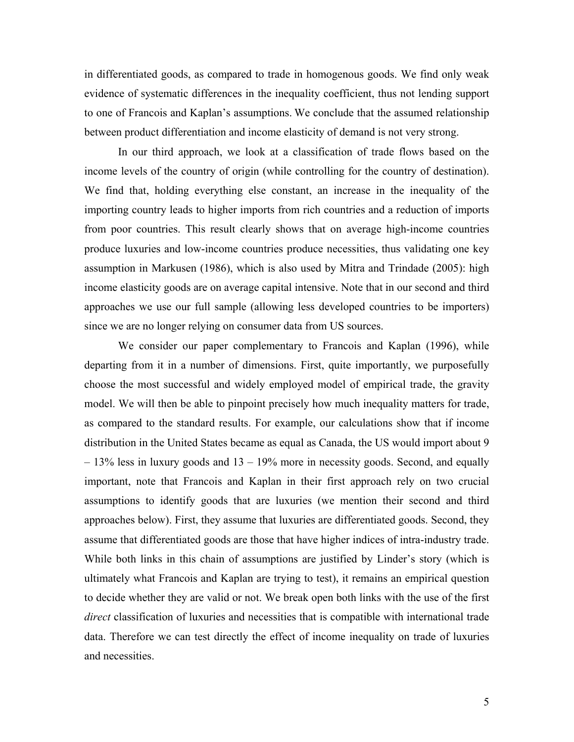in differentiated goods, as compared to trade in homogenous goods. We find only weak evidence of systematic differences in the inequality coefficient, thus not lending support to one of Francois and Kaplan's assumptions. We conclude that the assumed relationship between product differentiation and income elasticity of demand is not very strong.

In our third approach, we look at a classification of trade flows based on the income levels of the country of origin (while controlling for the country of destination). We find that, holding everything else constant, an increase in the inequality of the importing country leads to higher imports from rich countries and a reduction of imports from poor countries. This result clearly shows that on average high-income countries produce luxuries and low-income countries produce necessities, thus validating one key assumption in Markusen (1986), which is also used by Mitra and Trindade (2005): high income elasticity goods are on average capital intensive. Note that in our second and third approaches we use our full sample (allowing less developed countries to be importers) since we are no longer relying on consumer data from US sources.

We consider our paper complementary to Francois and Kaplan (1996), while departing from it in a number of dimensions. First, quite importantly, we purposefully choose the most successful and widely employed model of empirical trade, the gravity model. We will then be able to pinpoint precisely how much inequality matters for trade, as compared to the standard results. For example, our calculations show that if income distribution in the United States became as equal as Canada, the US would import about 9 – 13% less in luxury goods and 13 – 19% more in necessity goods. Second, and equally important, note that Francois and Kaplan in their first approach rely on two crucial assumptions to identify goods that are luxuries (we mention their second and third approaches below). First, they assume that luxuries are differentiated goods. Second, they assume that differentiated goods are those that have higher indices of intra-industry trade. While both links in this chain of assumptions are justified by Linder's story (which is ultimately what Francois and Kaplan are trying to test), it remains an empirical question to decide whether they are valid or not. We break open both links with the use of the first *direct* classification of luxuries and necessities that is compatible with international trade data. Therefore we can test directly the effect of income inequality on trade of luxuries and necessities.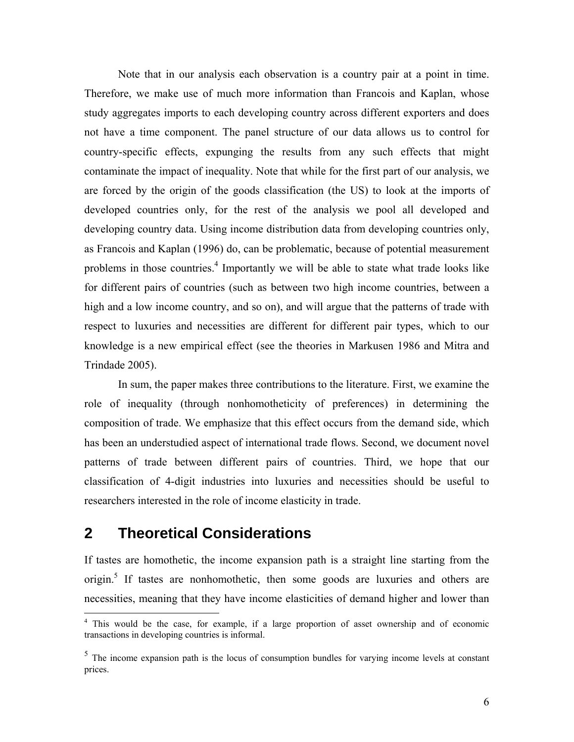Note that in our analysis each observation is a country pair at a point in time. Therefore, we make use of much more information than Francois and Kaplan, whose study aggregates imports to each developing country across different exporters and does not have a time component. The panel structure of our data allows us to control for country-specific effects, expunging the results from any such effects that might contaminate the impact of inequality. Note that while for the first part of our analysis, we are forced by the origin of the goods classification (the US) to look at the imports of developed countries only, for the rest of the analysis we pool all developed and developing country data. Using income distribution data from developing countries only, as Francois and Kaplan (1996) do, can be problematic, because of potential measurement problems in those countries.<sup>4</sup> Importantly we will be able to state what trade looks like for different pairs of countries (such as between two high income countries, between a high and a low income country, and so on), and will argue that the patterns of trade with respect to luxuries and necessities are different for different pair types, which to our knowledge is a new empirical effect (see the theories in Markusen 1986 and Mitra and Trindade 2005).

In sum, the paper makes three contributions to the literature. First, we examine the role of inequality (through nonhomotheticity of preferences) in determining the composition of trade. We emphasize that this effect occurs from the demand side, which has been an understudied aspect of international trade flows. Second, we document novel patterns of trade between different pairs of countries. Third, we hope that our classification of 4-digit industries into luxuries and necessities should be useful to researchers interested in the role of income elasticity in trade.

# **2 Theoretical Considerations**

If tastes are homothetic, the income expansion path is a straight line starting from the origin.<sup>5</sup> If tastes are nonhomothetic, then some goods are luxuries and others are necessities, meaning that they have income elasticities of demand higher and lower than

<sup>&</sup>lt;sup>4</sup> This would be the case, for example, if a large proportion of asset ownership and of economic transactions in developing countries is informal.

 $<sup>5</sup>$  The income expansion path is the locus of consumption bundles for varying income levels at constant</sup> prices.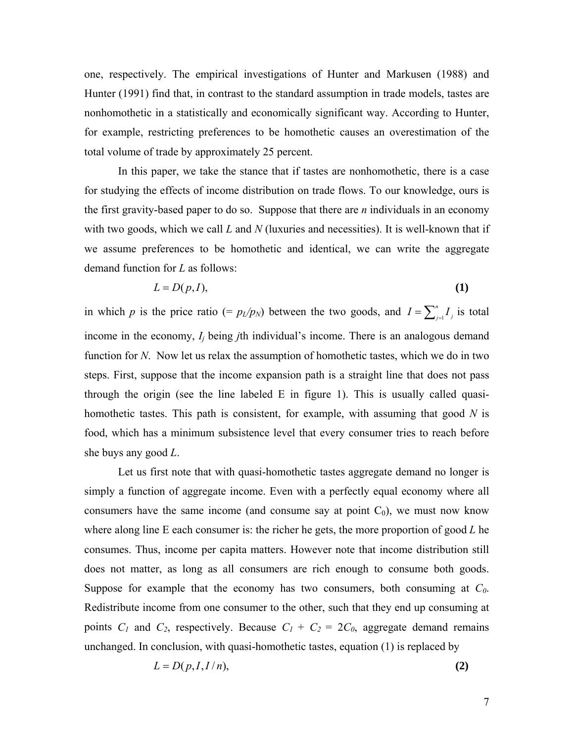one, respectively. The empirical investigations of Hunter and Markusen (1988) and Hunter (1991) find that, in contrast to the standard assumption in trade models, tastes are nonhomothetic in a statistically and economically significant way. According to Hunter, for example, restricting preferences to be homothetic causes an overestimation of the total volume of trade by approximately 25 percent.

 In this paper, we take the stance that if tastes are nonhomothetic, there is a case for studying the effects of income distribution on trade flows. To our knowledge, ours is the first gravity-based paper to do so. Suppose that there are *n* individuals in an economy with two goods, which we call *L* and *N* (luxuries and necessities). It is well-known that if we assume preferences to be homothetic and identical, we can write the aggregate demand function for *L* as follows:

$$
L = D(p, I),\tag{1}
$$

in which *p* is the price ratio (=  $p_l/p_N$ ) between the two goods, and  $I = \sum_{j=1}^n I_j$  is total income in the economy, *Ij* being *j*th individual's income. There is an analogous demand function for *N*. Now let us relax the assumption of homothetic tastes, which we do in two steps. First, suppose that the income expansion path is a straight line that does not pass through the origin (see the line labeled E in figure 1). This is usually called quasihomothetic tastes. This path is consistent, for example, with assuming that good *N* is food, which has a minimum subsistence level that every consumer tries to reach before she buys any good *L*.

 Let us first note that with quasi-homothetic tastes aggregate demand no longer is simply a function of aggregate income. Even with a perfectly equal economy where all consumers have the same income (and consume say at point  $C_0$ ), we must now know where along line E each consumer is: the richer he gets, the more proportion of good *L* he consumes. Thus, income per capita matters. However note that income distribution still does not matter, as long as all consumers are rich enough to consume both goods. Suppose for example that the economy has two consumers, both consuming at *C0*. Redistribute income from one consumer to the other, such that they end up consuming at points  $C_1$  and  $C_2$ , respectively. Because  $C_1 + C_2 = 2C_0$ , aggregate demand remains unchanged. In conclusion, with quasi-homothetic tastes, equation (1) is replaced by

$$
L = D(p, I, I/n),\tag{2}
$$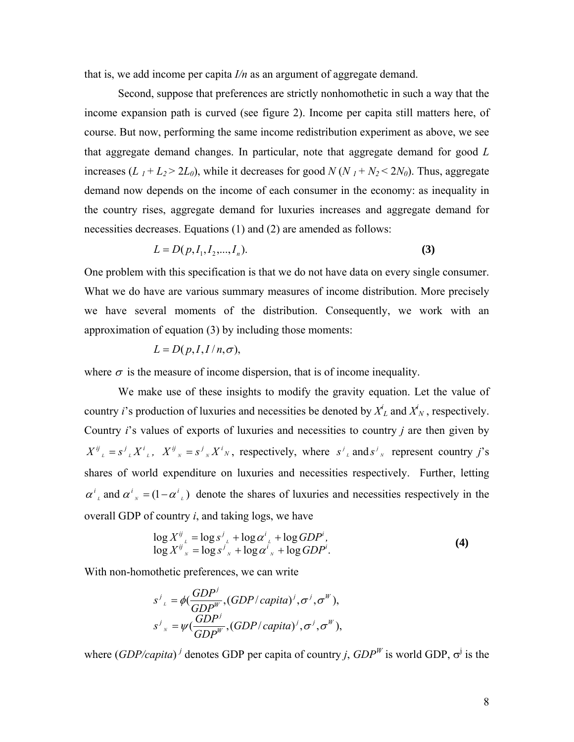that is, we add income per capita *I/n* as an argument of aggregate demand.

 Second, suppose that preferences are strictly nonhomothetic in such a way that the income expansion path is curved (see figure 2). Income per capita still matters here, of course. But now, performing the same income redistribution experiment as above, we see that aggregate demand changes. In particular, note that aggregate demand for good *L* increases  $(L_1 + L_2 > 2L_0)$ , while it decreases for good  $N(N_1 + N_2 < 2N_0)$ . Thus, aggregate demand now depends on the income of each consumer in the economy: as inequality in the country rises, aggregate demand for luxuries increases and aggregate demand for necessities decreases. Equations (1) and (2) are amended as follows:

$$
L = D(p, I_1, I_2, \dots, I_n). \tag{3}
$$

One problem with this specification is that we do not have data on every single consumer. What we do have are various summary measures of income distribution. More precisely we have several moments of the distribution. Consequently, we work with an approximation of equation (3) by including those moments:

$$
L = D(p, I, I/n, \sigma),
$$

where  $\sigma$  is the measure of income dispersion, that is of income inequality.

 We make use of these insights to modify the gravity equation. Let the value of country *i*'s production of luxuries and necessities be denoted by  $X^i_L$  and  $X^i_N$ , respectively. Country *i*'s values of exports of luxuries and necessities to country *j* are then given by  $X^{ij}_{l} = s^{j}_{l} X^{i}_{l}$ ,  $X^{ij}_{l} = s^{j}_{l} X^{i}_{l}$ , respectively, where  $s^{j}_{l}$  and  $s^{j}_{l}$  represent country j's shares of world expenditure on luxuries and necessities respectively. Further, letting  $\alpha^{i}$  and  $\alpha^{i}$  =  $(1 - \alpha^{i}$  *i*) denote the shares of luxuries and necessities respectively in the overall GDP of country *i*, and taking logs, we have

$$
\log X^{\mathit{ij}}_{\scriptscriptstyle{L}} = \log s^{\mathit{j}}_{\scriptscriptstyle{L}} + \log \alpha^{\mathit{i}}_{\scriptscriptstyle{L}} + \log GDP^{\mathit{i}},
$$
  

$$
\log X^{\mathit{ij}}_{\scriptscriptstyle{N}} = \log s^{\mathit{j}}_{\scriptscriptstyle{N}} + \log \alpha^{\mathit{i}}_{\scriptscriptstyle{N}} + \log GDP^{\mathit{i}}.
$$
 (4)

With non-homothetic preferences, we can write

$$
s^{j}_{k} = \phi(\frac{GDP^{j}}{GDP^{W}}, (GDP/capita)^{j}, \sigma^{j}, \sigma^{W}),
$$
  
\n
$$
s^{j}_{k} = \psi(\frac{GDP^{j}}{GDP^{W}}, (GDP/capita)^{j}, \sigma^{j}, \sigma^{W}),
$$

where  $(GDP/capita)^j$  denotes GDP per capita of country *j*,  $GDP^W$  is world GDP,  $\sigma^j$  is the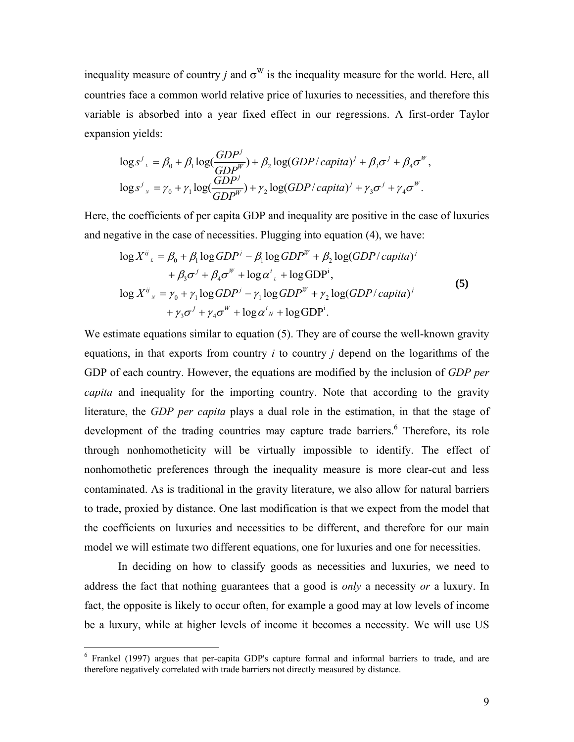inequality measure of country *j* and  $\sigma^W$  is the inequality measure for the world. Here, all countries face a common world relative price of luxuries to necessities, and therefore this variable is absorbed into a year fixed effect in our regressions. A first-order Taylor expansion yields:

$$
\log s^{j}_{\mu} = \beta_{0} + \beta_{1} \log(\frac{GDP^{j}}{GDP^{W}}) + \beta_{2} \log(GDP/capita)^{j} + \beta_{3}\sigma^{j} + \beta_{4}\sigma^{W},
$$
  

$$
\log s^{j}_{\mu} = \gamma_{0} + \gamma_{1} \log(\frac{GDP^{j}}{GDP^{W}}) + \gamma_{2} \log(GDP/capita)^{j} + \gamma_{3}\sigma^{j} + \gamma_{4}\sigma^{W}.
$$

Here, the coefficients of per capita GDP and inequality are positive in the case of luxuries and negative in the case of necessities. Plugging into equation (4), we have:

$$
\log X^{\ddot{y}}{}_{\iota} = \beta_0 + \beta_1 \log GDP^j - \beta_1 \log GDP^W + \beta_2 \log (GDP/capita)^j
$$
  
+  $\beta_3 \sigma^j + \beta_4 \sigma^W + \log \alpha^i{}_{\iota} + \log GDP^i$ ,  

$$
\log X^{\ddot{y}}{}_{\iota} = \gamma_0 + \gamma_1 \log GDP^j - \gamma_1 \log GDP^W + \gamma_2 \log (GDP/capita)^j
$$
  
+  $\gamma_3 \sigma^j + \gamma_4 \sigma^W + \log \alpha^i{}_{\iota} + \log GDP^i$ . (5)

We estimate equations similar to equation (5). They are of course the well-known gravity equations, in that exports from country *i* to country *j* depend on the logarithms of the GDP of each country. However, the equations are modified by the inclusion of *GDP per capita* and inequality for the importing country. Note that according to the gravity literature, the *GDP per capita* plays a dual role in the estimation, in that the stage of development of the trading countries may capture trade barriers.<sup>6</sup> Therefore, its role through nonhomotheticity will be virtually impossible to identify. The effect of nonhomothetic preferences through the inequality measure is more clear-cut and less contaminated. As is traditional in the gravity literature, we also allow for natural barriers to trade, proxied by distance. One last modification is that we expect from the model that the coefficients on luxuries and necessities to be different, and therefore for our main model we will estimate two different equations, one for luxuries and one for necessities.

In deciding on how to classify goods as necessities and luxuries, we need to address the fact that nothing guarantees that a good is *only* a necessity *or* a luxury. In fact, the opposite is likely to occur often, for example a good may at low levels of income be a luxury, while at higher levels of income it becomes a necessity. We will use US

<sup>&</sup>lt;sup>6</sup> Frankel (1997) argues that per-capita GDP's capture formal and informal barriers to trade, and are therefore negatively correlated with trade barriers not directly measured by distance.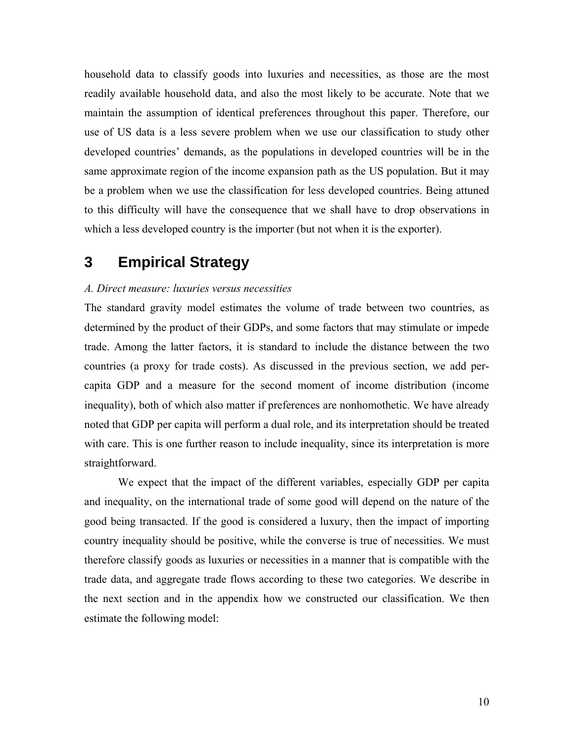household data to classify goods into luxuries and necessities, as those are the most readily available household data, and also the most likely to be accurate. Note that we maintain the assumption of identical preferences throughout this paper. Therefore, our use of US data is a less severe problem when we use our classification to study other developed countries' demands, as the populations in developed countries will be in the same approximate region of the income expansion path as the US population. But it may be a problem when we use the classification for less developed countries. Being attuned to this difficulty will have the consequence that we shall have to drop observations in which a less developed country is the importer (but not when it is the exporter).

## **3 Empirical Strategy**

### *A. Direct measure: luxuries versus necessities*

The standard gravity model estimates the volume of trade between two countries, as determined by the product of their GDPs, and some factors that may stimulate or impede trade. Among the latter factors, it is standard to include the distance between the two countries (a proxy for trade costs). As discussed in the previous section, we add percapita GDP and a measure for the second moment of income distribution (income inequality), both of which also matter if preferences are nonhomothetic. We have already noted that GDP per capita will perform a dual role, and its interpretation should be treated with care. This is one further reason to include inequality, since its interpretation is more straightforward.

We expect that the impact of the different variables, especially GDP per capita and inequality, on the international trade of some good will depend on the nature of the good being transacted. If the good is considered a luxury, then the impact of importing country inequality should be positive, while the converse is true of necessities. We must therefore classify goods as luxuries or necessities in a manner that is compatible with the trade data, and aggregate trade flows according to these two categories. We describe in the next section and in the appendix how we constructed our classification. We then estimate the following model: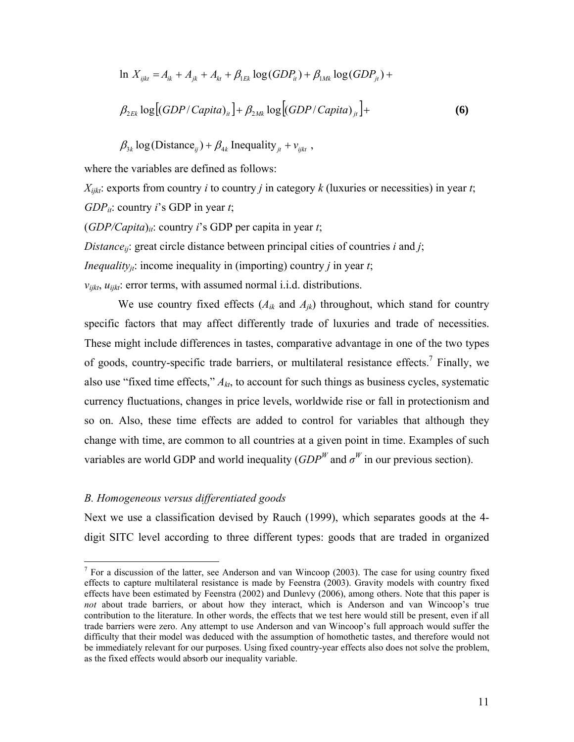$$
\ln X_{ijk} = A_{ik} + A_{jk} + A_{kt} + \beta_{1Ek} \log(GDP_{it}) + \beta_{1Mk} \log(GDP_{jt}) +
$$

$$
\beta_{2Ek} \log \left[ (GDP/Capita)_u \right] + \beta_{2Mk} \log \left[ (GDP/Capita)_u \right] + \tag{6}
$$

 $\beta_{3k} \log(\text{Distance}_{ij}) + \beta_{4k} \text{Inequality}_{jt} + v_{ijkt}$ ,

where the variables are defined as follows:

 $X_{iik}$ : exports from country *i* to country *j* in category *k* (luxuries or necessities) in year *t*; *GDP<sub>it</sub>*: country *i*'s GDP in year *t*;

 $(GDP/Capita)_{ii}$ : country *i*'s GDP per capita in year *t*;

*Distanceij*: great circle distance between principal cities of countries *i* and *j*;

*Inequality<sub>it</sub>*: income inequality in (importing) country *j* in year *t*;

 $v_{iikt}$ ,  $u_{iikt}$ : error terms, with assumed normal i.i.d. distributions.

We use country fixed effects  $(A_{ik}$  and  $A_{ik}$ ) throughout, which stand for country specific factors that may affect differently trade of luxuries and trade of necessities. These might include differences in tastes, comparative advantage in one of the two types of goods, country-specific trade barriers, or multilateral resistance effects.<sup>7</sup> Finally, we also use "fixed time effects," *Akt*, to account for such things as business cycles, systematic currency fluctuations, changes in price levels, worldwide rise or fall in protectionism and so on. Also, these time effects are added to control for variables that although they change with time, are common to all countries at a given point in time. Examples of such variables are world GDP and world inequality  $(GDP^W)$  and  $\sigma^W$  in our previous section).

### *B. Homogeneous versus differentiated goods*

1

Next we use a classification devised by Rauch (1999), which separates goods at the 4 digit SITC level according to three different types: goods that are traded in organized

<sup>&</sup>lt;sup>7</sup> For a discussion of the latter, see Anderson and van Wincoop (2003). The case for using country fixed effects to capture multilateral resistance is made by Feenstra (2003). Gravity models with country fixed effects have been estimated by Feenstra (2002) and Dunlevy (2006), among others. Note that this paper is *not* about trade barriers, or about how they interact, which is Anderson and van Wincoop's true contribution to the literature. In other words, the effects that we test here would still be present, even if all trade barriers were zero. Any attempt to use Anderson and van Wincoop's full approach would suffer the difficulty that their model was deduced with the assumption of homothetic tastes, and therefore would not be immediately relevant for our purposes. Using fixed country-year effects also does not solve the problem, as the fixed effects would absorb our inequality variable.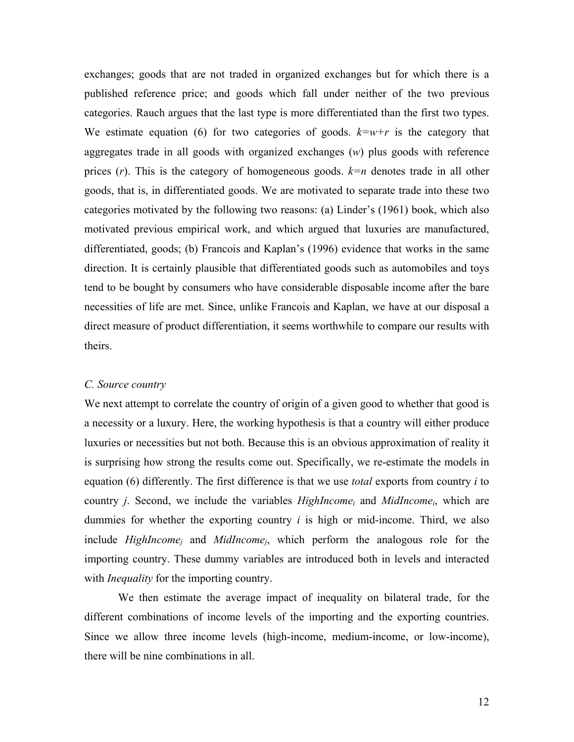exchanges; goods that are not traded in organized exchanges but for which there is a published reference price; and goods which fall under neither of the two previous categories. Rauch argues that the last type is more differentiated than the first two types. We estimate equation (6) for two categories of goods.  $k=w+r$  is the category that aggregates trade in all goods with organized exchanges (*w*) plus goods with reference prices (*r*). This is the category of homogeneous goods. *k=n* denotes trade in all other goods, that is, in differentiated goods. We are motivated to separate trade into these two categories motivated by the following two reasons: (a) Linder's (1961) book, which also motivated previous empirical work, and which argued that luxuries are manufactured, differentiated, goods; (b) Francois and Kaplan's (1996) evidence that works in the same direction. It is certainly plausible that differentiated goods such as automobiles and toys tend to be bought by consumers who have considerable disposable income after the bare necessities of life are met. Since, unlike Francois and Kaplan, we have at our disposal a direct measure of product differentiation, it seems worthwhile to compare our results with theirs.

### *C. Source country*

We next attempt to correlate the country of origin of a given good to whether that good is a necessity or a luxury. Here, the working hypothesis is that a country will either produce luxuries or necessities but not both. Because this is an obvious approximation of reality it is surprising how strong the results come out. Specifically, we re-estimate the models in equation (6) differently. The first difference is that we use *total* exports from country *i* to country *j*. Second, we include the variables *HighIncomei* and *MidIncomei*, which are dummies for whether the exporting country *i* is high or mid-income. Third, we also include *HighIncomej* and *MidIncomej*, which perform the analogous role for the importing country. These dummy variables are introduced both in levels and interacted with *Inequality* for the importing country.

 We then estimate the average impact of inequality on bilateral trade, for the different combinations of income levels of the importing and the exporting countries. Since we allow three income levels (high-income, medium-income, or low-income), there will be nine combinations in all.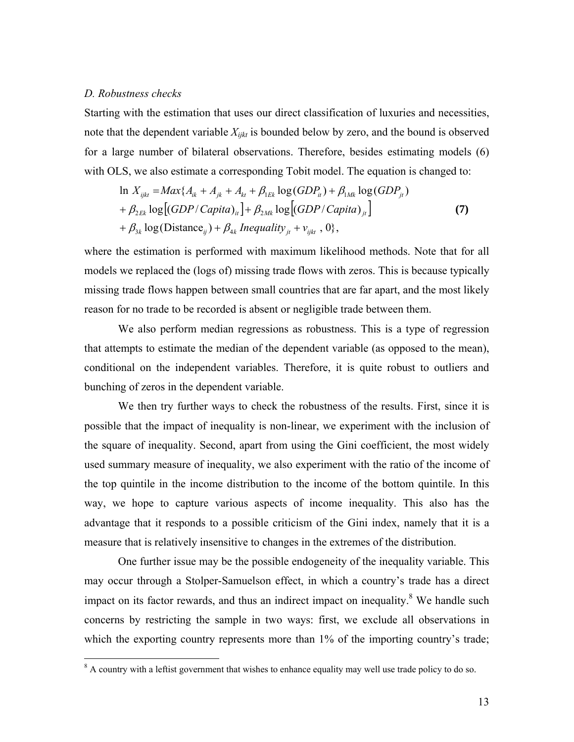#### *D. Robustness checks*

Starting with the estimation that uses our direct classification of luxuries and necessities, note that the dependent variable  $X_{ijk}$  is bounded below by zero, and the bound is observed for a large number of bilateral observations. Therefore, besides estimating models (6) with OLS, we also estimate a corresponding Tobit model. The equation is changed to:

$$
\ln X_{ijkl} = Max\{A_{ik} + A_{jk} + A_{kt} + \beta_{1Ek}\log(GDP_{it}) + \beta_{1Mk}\log(GDP_{jt})
$$
  
+  $\beta_{2Ek}\log[(GDP/Capita)_{it}] + \beta_{2Mk}\log[(GDP/Capita)_{jt}]$   
+  $\beta_{3k}\log(Distance_{ij}) + \beta_{4k}$  Inequality<sub>jt</sub> +  $v_{ijkt}$ , 0}, (7)

where the estimation is performed with maximum likelihood methods. Note that for all models we replaced the (logs of) missing trade flows with zeros. This is because typically missing trade flows happen between small countries that are far apart, and the most likely reason for no trade to be recorded is absent or negligible trade between them.

 We also perform median regressions as robustness. This is a type of regression that attempts to estimate the median of the dependent variable (as opposed to the mean), conditional on the independent variables. Therefore, it is quite robust to outliers and bunching of zeros in the dependent variable.

 We then try further ways to check the robustness of the results. First, since it is possible that the impact of inequality is non-linear, we experiment with the inclusion of the square of inequality. Second, apart from using the Gini coefficient, the most widely used summary measure of inequality, we also experiment with the ratio of the income of the top quintile in the income distribution to the income of the bottom quintile. In this way, we hope to capture various aspects of income inequality. This also has the advantage that it responds to a possible criticism of the Gini index, namely that it is a measure that is relatively insensitive to changes in the extremes of the distribution.

 One further issue may be the possible endogeneity of the inequality variable. This may occur through a Stolper-Samuelson effect, in which a country's trade has a direct impact on its factor rewards, and thus an indirect impact on inequality. $8$  We handle such concerns by restricting the sample in two ways: first, we exclude all observations in which the exporting country represents more than 1% of the importing country's trade;

 $\frac{8}{\sqrt{3}}$  A country with a leftist government that wishes to enhance equality may well use trade policy to do so.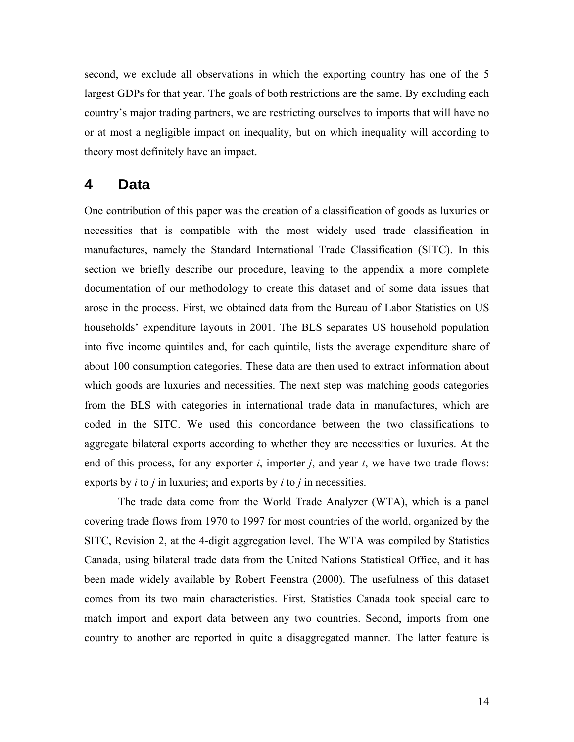second, we exclude all observations in which the exporting country has one of the 5 largest GDPs for that year. The goals of both restrictions are the same. By excluding each country's major trading partners, we are restricting ourselves to imports that will have no or at most a negligible impact on inequality, but on which inequality will according to theory most definitely have an impact.

## **4 Data**

One contribution of this paper was the creation of a classification of goods as luxuries or necessities that is compatible with the most widely used trade classification in manufactures, namely the Standard International Trade Classification (SITC). In this section we briefly describe our procedure, leaving to the appendix a more complete documentation of our methodology to create this dataset and of some data issues that arose in the process. First, we obtained data from the Bureau of Labor Statistics on US households' expenditure layouts in 2001. The BLS separates US household population into five income quintiles and, for each quintile, lists the average expenditure share of about 100 consumption categories. These data are then used to extract information about which goods are luxuries and necessities. The next step was matching goods categories from the BLS with categories in international trade data in manufactures, which are coded in the SITC. We used this concordance between the two classifications to aggregate bilateral exports according to whether they are necessities or luxuries. At the end of this process, for any exporter *i*, importer *j*, and year *t*, we have two trade flows: exports by *i* to *j* in luxuries; and exports by *i* to *j* in necessities.

The trade data come from the World Trade Analyzer (WTA), which is a panel covering trade flows from 1970 to 1997 for most countries of the world, organized by the SITC, Revision 2, at the 4-digit aggregation level. The WTA was compiled by Statistics Canada, using bilateral trade data from the United Nations Statistical Office, and it has been made widely available by Robert Feenstra (2000). The usefulness of this dataset comes from its two main characteristics. First, Statistics Canada took special care to match import and export data between any two countries. Second, imports from one country to another are reported in quite a disaggregated manner. The latter feature is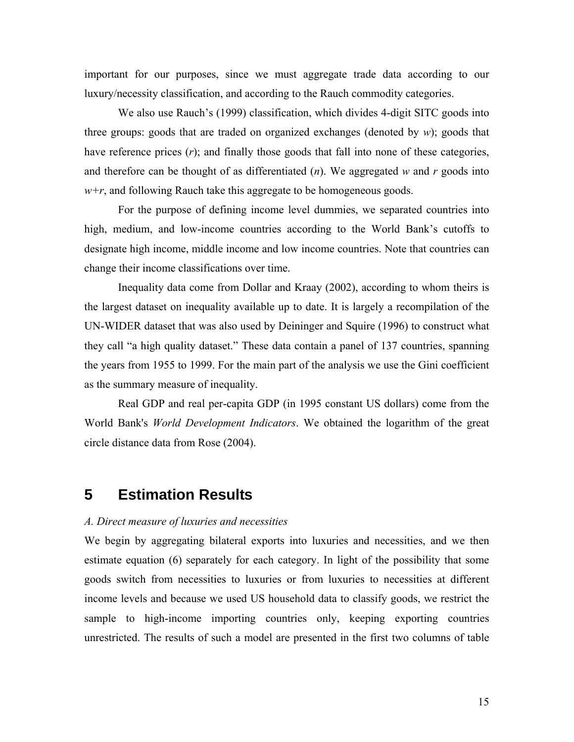important for our purposes, since we must aggregate trade data according to our luxury/necessity classification, and according to the Rauch commodity categories.

 We also use Rauch's (1999) classification, which divides 4-digit SITC goods into three groups: goods that are traded on organized exchanges (denoted by  $w$ ); goods that have reference prices  $(r)$ ; and finally those goods that fall into none of these categories, and therefore can be thought of as differentiated  $(n)$ . We aggregated w and r goods into *w+r*, and following Rauch take this aggregate to be homogeneous goods.

 For the purpose of defining income level dummies, we separated countries into high, medium, and low-income countries according to the World Bank's cutoffs to designate high income, middle income and low income countries. Note that countries can change their income classifications over time.

 Inequality data come from Dollar and Kraay (2002), according to whom theirs is the largest dataset on inequality available up to date. It is largely a recompilation of the UN-WIDER dataset that was also used by Deininger and Squire (1996) to construct what they call "a high quality dataset." These data contain a panel of 137 countries, spanning the years from 1955 to 1999. For the main part of the analysis we use the Gini coefficient as the summary measure of inequality.

 Real GDP and real per-capita GDP (in 1995 constant US dollars) come from the World Bank's *World Development Indicators*. We obtained the logarithm of the great circle distance data from Rose (2004).

### **5 Estimation Results**

### *A. Direct measure of luxuries and necessities*

We begin by aggregating bilateral exports into luxuries and necessities, and we then estimate equation (6) separately for each category. In light of the possibility that some goods switch from necessities to luxuries or from luxuries to necessities at different income levels and because we used US household data to classify goods, we restrict the sample to high-income importing countries only, keeping exporting countries unrestricted. The results of such a model are presented in the first two columns of table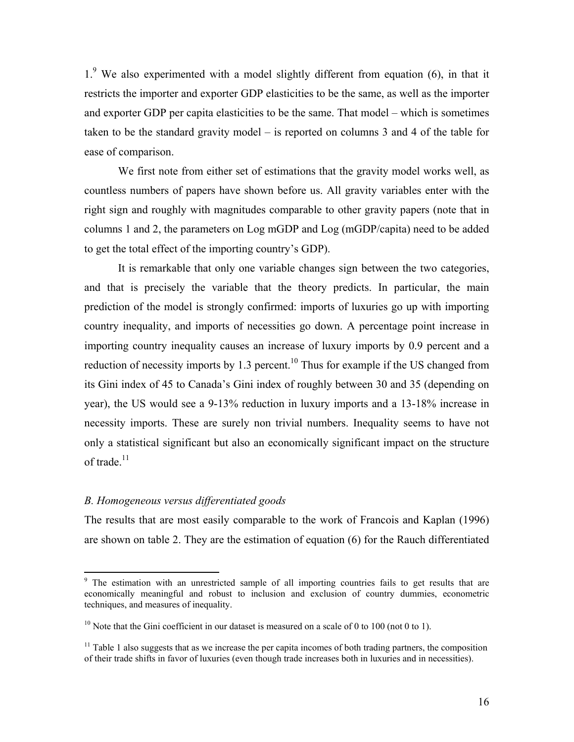1.<sup>9</sup> We also experimented with a model slightly different from equation (6), in that it restricts the importer and exporter GDP elasticities to be the same, as well as the importer and exporter GDP per capita elasticities to be the same. That model – which is sometimes taken to be the standard gravity model – is reported on columns 3 and 4 of the table for ease of comparison.

 We first note from either set of estimations that the gravity model works well, as countless numbers of papers have shown before us. All gravity variables enter with the right sign and roughly with magnitudes comparable to other gravity papers (note that in columns 1 and 2, the parameters on Log mGDP and Log (mGDP/capita) need to be added to get the total effect of the importing country's GDP).

 It is remarkable that only one variable changes sign between the two categories, and that is precisely the variable that the theory predicts. In particular, the main prediction of the model is strongly confirmed: imports of luxuries go up with importing country inequality, and imports of necessities go down. A percentage point increase in importing country inequality causes an increase of luxury imports by 0.9 percent and a reduction of necessity imports by 1.3 percent.<sup>10</sup> Thus for example if the US changed from its Gini index of 45 to Canada's Gini index of roughly between 30 and 35 (depending on year), the US would see a 9-13% reduction in luxury imports and a 13-18% increase in necessity imports. These are surely non trivial numbers. Inequality seems to have not only a statistical significant but also an economically significant impact on the structure of trade. $11$ 

### *B. Homogeneous versus differentiated goods*

The results that are most easily comparable to the work of Francois and Kaplan (1996) are shown on table 2. They are the estimation of equation (6) for the Rauch differentiated

<sup>&</sup>lt;sup>9</sup> The estimation with an unrestricted sample of all importing countries fails to get results that are economically meaningful and robust to inclusion and exclusion of country dummies, econometric techniques, and measures of inequality.

<sup>&</sup>lt;sup>10</sup> Note that the Gini coefficient in our dataset is measured on a scale of 0 to 100 (not 0 to 1).

 $11$  Table 1 also suggests that as we increase the per capita incomes of both trading partners, the composition of their trade shifts in favor of luxuries (even though trade increases both in luxuries and in necessities).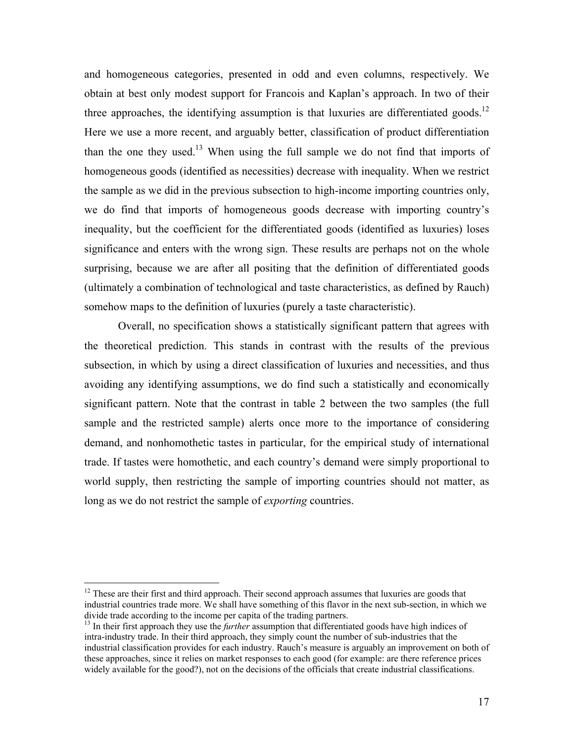and homogeneous categories, presented in odd and even columns, respectively. We obtain at best only modest support for Francois and Kaplan's approach. In two of their three approaches, the identifying assumption is that luxuries are differentiated goods.<sup>12</sup> Here we use a more recent, and arguably better, classification of product differentiation than the one they used.<sup>13</sup> When using the full sample we do not find that imports of homogeneous goods (identified as necessities) decrease with inequality. When we restrict the sample as we did in the previous subsection to high-income importing countries only, we do find that imports of homogeneous goods decrease with importing country's inequality, but the coefficient for the differentiated goods (identified as luxuries) loses significance and enters with the wrong sign. These results are perhaps not on the whole surprising, because we are after all positing that the definition of differentiated goods (ultimately a combination of technological and taste characteristics, as defined by Rauch) somehow maps to the definition of luxuries (purely a taste characteristic).

 Overall, no specification shows a statistically significant pattern that agrees with the theoretical prediction. This stands in contrast with the results of the previous subsection, in which by using a direct classification of luxuries and necessities, and thus avoiding any identifying assumptions, we do find such a statistically and economically significant pattern. Note that the contrast in table 2 between the two samples (the full sample and the restricted sample) alerts once more to the importance of considering demand, and nonhomothetic tastes in particular, for the empirical study of international trade. If tastes were homothetic, and each country's demand were simply proportional to world supply, then restricting the sample of importing countries should not matter, as long as we do not restrict the sample of *exporting* countries.

1

<sup>&</sup>lt;sup>12</sup> These are their first and third approach. Their second approach assumes that luxuries are goods that industrial countries trade more. We shall have something of this flavor in the next sub-section, in which we divide trade according to the income per capita of the trading partners.

<sup>&</sup>lt;sup>13</sup> In their first approach they use the *further* assumption that differentiated goods have high indices of intra-industry trade. In their third approach, they simply count the number of sub-industries that the industrial classification provides for each industry. Rauch's measure is arguably an improvement on both of these approaches, since it relies on market responses to each good (for example: are there reference prices widely available for the good?), not on the decisions of the officials that create industrial classifications.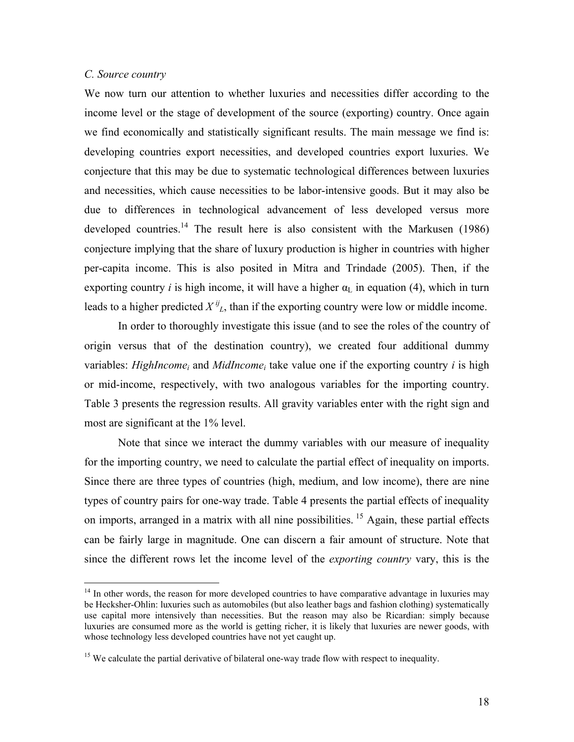### *C. Source country*

1

We now turn our attention to whether luxuries and necessities differ according to the income level or the stage of development of the source (exporting) country. Once again we find economically and statistically significant results. The main message we find is: developing countries export necessities, and developed countries export luxuries. We conjecture that this may be due to systematic technological differences between luxuries and necessities, which cause necessities to be labor-intensive goods. But it may also be due to differences in technological advancement of less developed versus more developed countries.<sup>14</sup> The result here is also consistent with the Markusen (1986) conjecture implying that the share of luxury production is higher in countries with higher per-capita income. This is also posited in Mitra and Trindade (2005). Then, if the exporting country *i* is high income, it will have a higher  $\alpha_L$  in equation (4), which in turn leads to a higher predicted  $X^{ij}$ , than if the exporting country were low or middle income.

 In order to thoroughly investigate this issue (and to see the roles of the country of origin versus that of the destination country), we created four additional dummy variables: *HighIncome<sub>i</sub>* and *MidIncome<sub>i</sub>* take value one if the exporting country *i* is high or mid-income, respectively, with two analogous variables for the importing country. Table 3 presents the regression results. All gravity variables enter with the right sign and most are significant at the 1% level.

 Note that since we interact the dummy variables with our measure of inequality for the importing country, we need to calculate the partial effect of inequality on imports. Since there are three types of countries (high, medium, and low income), there are nine types of country pairs for one-way trade. Table 4 presents the partial effects of inequality on imports, arranged in a matrix with all nine possibilities.<sup>15</sup> Again, these partial effects can be fairly large in magnitude. One can discern a fair amount of structure. Note that since the different rows let the income level of the *exporting country* vary, this is the

<sup>&</sup>lt;sup>14</sup> In other words, the reason for more developed countries to have comparative advantage in luxuries may be Hecksher-Ohlin: luxuries such as automobiles (but also leather bags and fashion clothing) systematically use capital more intensively than necessities. But the reason may also be Ricardian: simply because luxuries are consumed more as the world is getting richer, it is likely that luxuries are newer goods, with whose technology less developed countries have not yet caught up.

<sup>&</sup>lt;sup>15</sup> We calculate the partial derivative of bilateral one-way trade flow with respect to inequality.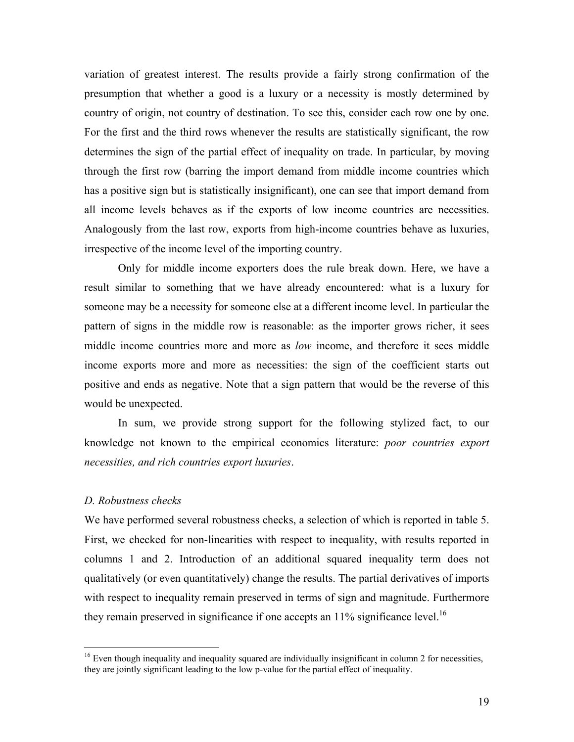variation of greatest interest. The results provide a fairly strong confirmation of the presumption that whether a good is a luxury or a necessity is mostly determined by country of origin, not country of destination. To see this, consider each row one by one. For the first and the third rows whenever the results are statistically significant, the row determines the sign of the partial effect of inequality on trade. In particular, by moving through the first row (barring the import demand from middle income countries which has a positive sign but is statistically insignificant), one can see that import demand from all income levels behaves as if the exports of low income countries are necessities. Analogously from the last row, exports from high-income countries behave as luxuries, irrespective of the income level of the importing country.

 Only for middle income exporters does the rule break down. Here, we have a result similar to something that we have already encountered: what is a luxury for someone may be a necessity for someone else at a different income level. In particular the pattern of signs in the middle row is reasonable: as the importer grows richer, it sees middle income countries more and more as *low* income, and therefore it sees middle income exports more and more as necessities: the sign of the coefficient starts out positive and ends as negative. Note that a sign pattern that would be the reverse of this would be unexpected.

 In sum, we provide strong support for the following stylized fact, to our knowledge not known to the empirical economics literature: *poor countries export necessities, and rich countries export luxuries*.

### *D. Robustness checks*

1

We have performed several robustness checks, a selection of which is reported in table 5. First, we checked for non-linearities with respect to inequality, with results reported in columns 1 and 2. Introduction of an additional squared inequality term does not qualitatively (or even quantitatively) change the results. The partial derivatives of imports with respect to inequality remain preserved in terms of sign and magnitude. Furthermore they remain preserved in significance if one accepts an  $11\%$  significance level.<sup>16</sup>

<sup>&</sup>lt;sup>16</sup> Even though inequality and inequality squared are individually insignificant in column 2 for necessities, they are jointly significant leading to the low p-value for the partial effect of inequality.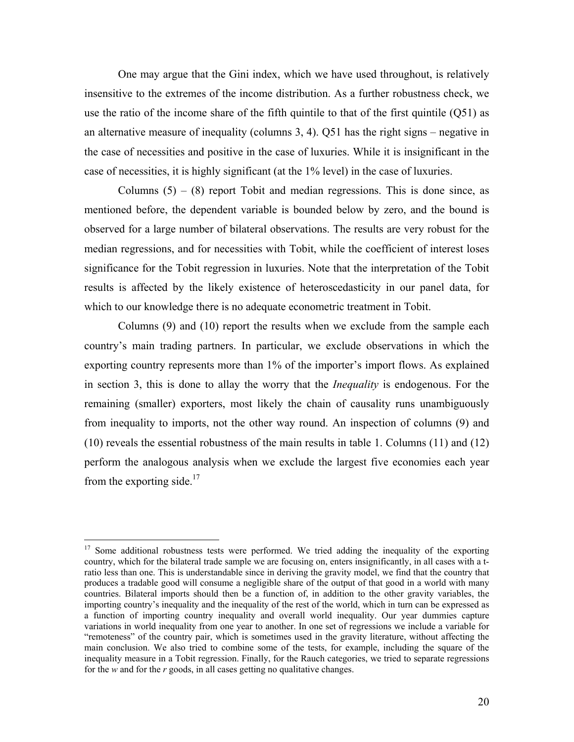One may argue that the Gini index, which we have used throughout, is relatively insensitive to the extremes of the income distribution. As a further robustness check, we use the ratio of the income share of the fifth quintile to that of the first quintile (Q51) as an alternative measure of inequality (columns 3, 4). Q51 has the right signs – negative in the case of necessities and positive in the case of luxuries. While it is insignificant in the case of necessities, it is highly significant (at the 1% level) in the case of luxuries.

Columns  $(5) - (8)$  report Tobit and median regressions. This is done since, as mentioned before, the dependent variable is bounded below by zero, and the bound is observed for a large number of bilateral observations. The results are very robust for the median regressions, and for necessities with Tobit, while the coefficient of interest loses significance for the Tobit regression in luxuries. Note that the interpretation of the Tobit results is affected by the likely existence of heteroscedasticity in our panel data, for which to our knowledge there is no adequate econometric treatment in Tobit.

Columns (9) and (10) report the results when we exclude from the sample each country's main trading partners. In particular, we exclude observations in which the exporting country represents more than 1% of the importer's import flows. As explained in section 3, this is done to allay the worry that the *Inequality* is endogenous. For the remaining (smaller) exporters, most likely the chain of causality runs unambiguously from inequality to imports, not the other way round. An inspection of columns (9) and (10) reveals the essential robustness of the main results in table 1. Columns (11) and (12) perform the analogous analysis when we exclude the largest five economies each year from the exporting side.<sup>17</sup>

1

<sup>&</sup>lt;sup>17</sup> Some additional robustness tests were performed. We tried adding the inequality of the exporting country, which for the bilateral trade sample we are focusing on, enters insignificantly, in all cases with a tratio less than one. This is understandable since in deriving the gravity model, we find that the country that produces a tradable good will consume a negligible share of the output of that good in a world with many countries. Bilateral imports should then be a function of, in addition to the other gravity variables, the importing country's inequality and the inequality of the rest of the world, which in turn can be expressed as a function of importing country inequality and overall world inequality. Our year dummies capture variations in world inequality from one year to another. In one set of regressions we include a variable for "remoteness" of the country pair, which is sometimes used in the gravity literature, without affecting the main conclusion. We also tried to combine some of the tests, for example, including the square of the inequality measure in a Tobit regression. Finally, for the Rauch categories, we tried to separate regressions for the *w* and for the *r* goods, in all cases getting no qualitative changes.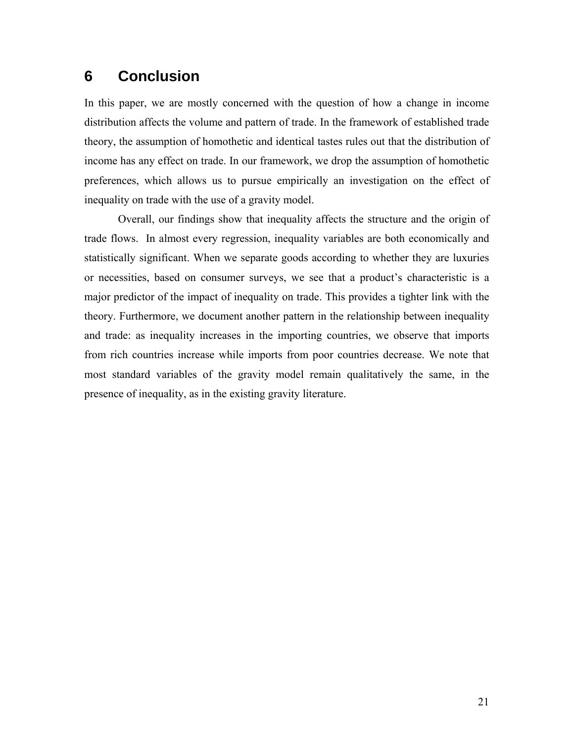# **6 Conclusion**

In this paper, we are mostly concerned with the question of how a change in income distribution affects the volume and pattern of trade. In the framework of established trade theory, the assumption of homothetic and identical tastes rules out that the distribution of income has any effect on trade. In our framework, we drop the assumption of homothetic preferences, which allows us to pursue empirically an investigation on the effect of inequality on trade with the use of a gravity model.

Overall, our findings show that inequality affects the structure and the origin of trade flows. In almost every regression, inequality variables are both economically and statistically significant. When we separate goods according to whether they are luxuries or necessities, based on consumer surveys, we see that a product's characteristic is a major predictor of the impact of inequality on trade. This provides a tighter link with the theory. Furthermore, we document another pattern in the relationship between inequality and trade: as inequality increases in the importing countries, we observe that imports from rich countries increase while imports from poor countries decrease. We note that most standard variables of the gravity model remain qualitatively the same, in the presence of inequality, as in the existing gravity literature.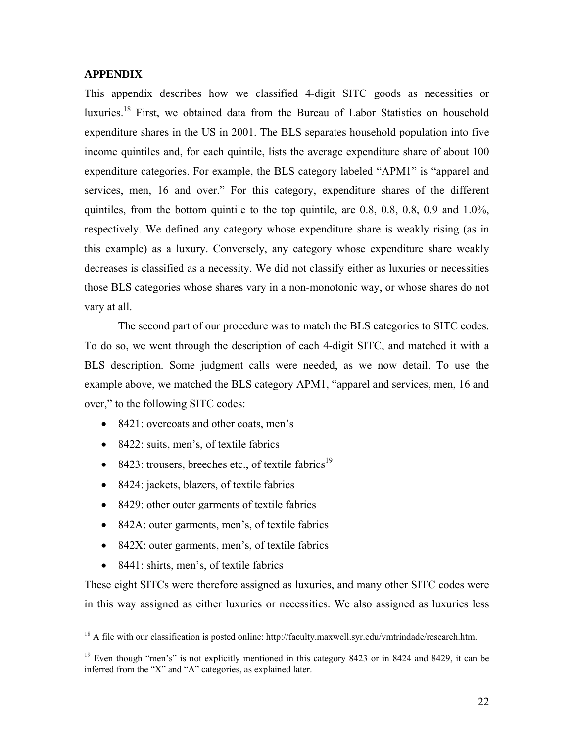### **APPENDIX**

This appendix describes how we classified 4-digit SITC goods as necessities or luxuries.<sup>18</sup> First, we obtained data from the Bureau of Labor Statistics on household expenditure shares in the US in 2001. The BLS separates household population into five income quintiles and, for each quintile, lists the average expenditure share of about 100 expenditure categories. For example, the BLS category labeled "APM1" is "apparel and services, men, 16 and over." For this category, expenditure shares of the different quintiles, from the bottom quintile to the top quintile, are 0.8, 0.8, 0.8, 0.9 and 1.0%, respectively. We defined any category whose expenditure share is weakly rising (as in this example) as a luxury. Conversely, any category whose expenditure share weakly decreases is classified as a necessity. We did not classify either as luxuries or necessities those BLS categories whose shares vary in a non-monotonic way, or whose shares do not vary at all.

 The second part of our procedure was to match the BLS categories to SITC codes. To do so, we went through the description of each 4-digit SITC, and matched it with a BLS description. Some judgment calls were needed, as we now detail. To use the example above, we matched the BLS category APM1, "apparel and services, men, 16 and over," to the following SITC codes:

- 8421: overcoats and other coats, men's
- 8422: suits, men's, of textile fabrics
- 8423: trousers, breeches etc., of textile fabrics<sup>19</sup>
- 8424: jackets, blazers, of textile fabrics
- 8429: other outer garments of textile fabrics
- 842A: outer garments, men's, of textile fabrics
- 842X: outer garments, men's, of textile fabrics
- 8441: shirts, men's, of textile fabrics

 $\overline{a}$ 

These eight SITCs were therefore assigned as luxuries, and many other SITC codes were in this way assigned as either luxuries or necessities. We also assigned as luxuries less

<sup>&</sup>lt;sup>18</sup> A file with our classification is posted online: http://faculty.maxwell.syr.edu/vmtrindade/research.htm.

<sup>&</sup>lt;sup>19</sup> Even though "men's" is not explicitly mentioned in this category 8423 or in 8424 and 8429, it can be inferred from the "X" and "A" categories, as explained later.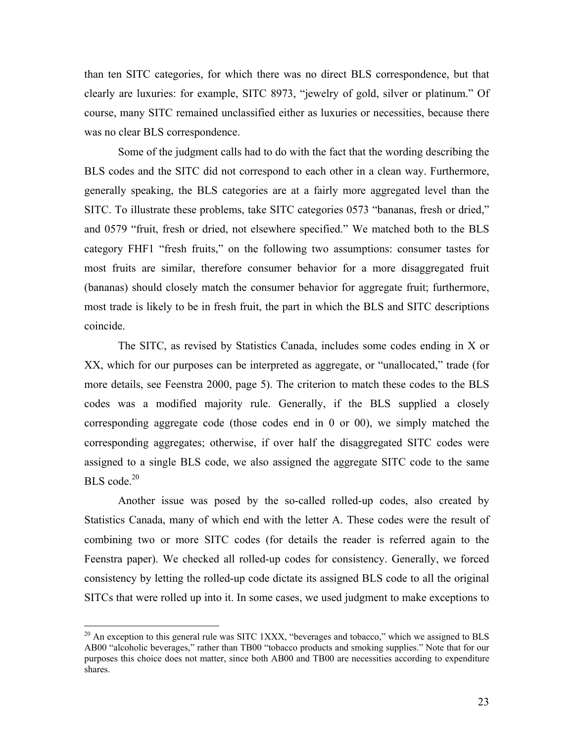than ten SITC categories, for which there was no direct BLS correspondence, but that clearly are luxuries: for example, SITC 8973, "jewelry of gold, silver or platinum." Of course, many SITC remained unclassified either as luxuries or necessities, because there was no clear BLS correspondence.

 Some of the judgment calls had to do with the fact that the wording describing the BLS codes and the SITC did not correspond to each other in a clean way. Furthermore, generally speaking, the BLS categories are at a fairly more aggregated level than the SITC. To illustrate these problems, take SITC categories 0573 "bananas, fresh or dried," and 0579 "fruit, fresh or dried, not elsewhere specified." We matched both to the BLS category FHF1 "fresh fruits," on the following two assumptions: consumer tastes for most fruits are similar, therefore consumer behavior for a more disaggregated fruit (bananas) should closely match the consumer behavior for aggregate fruit; furthermore, most trade is likely to be in fresh fruit, the part in which the BLS and SITC descriptions coincide.

 The SITC, as revised by Statistics Canada, includes some codes ending in X or XX, which for our purposes can be interpreted as aggregate, or "unallocated," trade (for more details, see Feenstra 2000, page 5). The criterion to match these codes to the BLS codes was a modified majority rule. Generally, if the BLS supplied a closely corresponding aggregate code (those codes end in 0 or 00), we simply matched the corresponding aggregates; otherwise, if over half the disaggregated SITC codes were assigned to a single BLS code, we also assigned the aggregate SITC code to the same  $BLS \text{ code.}^{20}$ 

 Another issue was posed by the so-called rolled-up codes, also created by Statistics Canada, many of which end with the letter A. These codes were the result of combining two or more SITC codes (for details the reader is referred again to the Feenstra paper). We checked all rolled-up codes for consistency. Generally, we forced consistency by letting the rolled-up code dictate its assigned BLS code to all the original SITCs that were rolled up into it. In some cases, we used judgment to make exceptions to

<u>.</u>

 $^{20}$  An exception to this general rule was SITC 1XXX, "beverages and tobacco," which we assigned to BLS AB00 "alcoholic beverages," rather than TB00 "tobacco products and smoking supplies." Note that for our purposes this choice does not matter, since both AB00 and TB00 are necessities according to expenditure shares.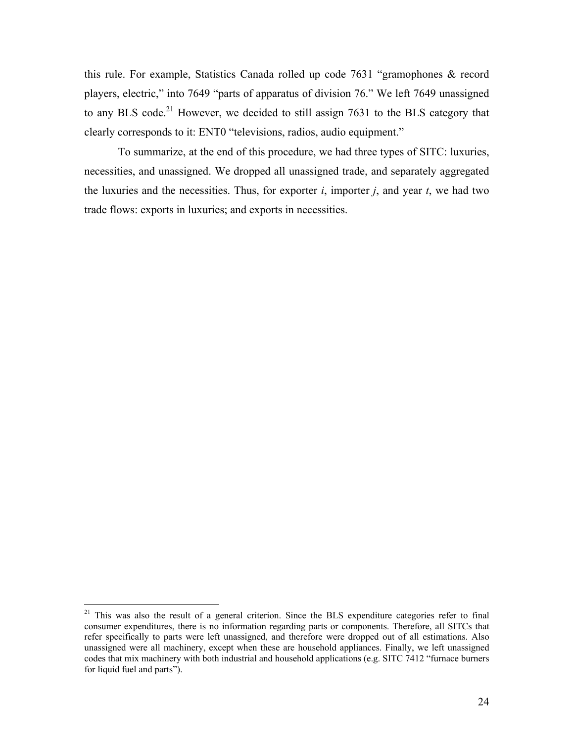this rule. For example, Statistics Canada rolled up code 7631 "gramophones & record players, electric," into 7649 "parts of apparatus of division 76." We left 7649 unassigned to any BLS code.<sup>21</sup> However, we decided to still assign 7631 to the BLS category that clearly corresponds to it: ENT0 "televisions, radios, audio equipment."

 To summarize, at the end of this procedure, we had three types of SITC: luxuries, necessities, and unassigned. We dropped all unassigned trade, and separately aggregated the luxuries and the necessities. Thus, for exporter  $i$ , importer  $j$ , and year  $t$ , we had two trade flows: exports in luxuries; and exports in necessities.

 $\overline{a}$ 

<sup>&</sup>lt;sup>21</sup> This was also the result of a general criterion. Since the BLS expenditure categories refer to final consumer expenditures, there is no information regarding parts or components. Therefore, all SITCs that refer specifically to parts were left unassigned, and therefore were dropped out of all estimations. Also unassigned were all machinery, except when these are household appliances. Finally, we left unassigned codes that mix machinery with both industrial and household applications (e.g. SITC 7412 "furnace burners for liquid fuel and parts").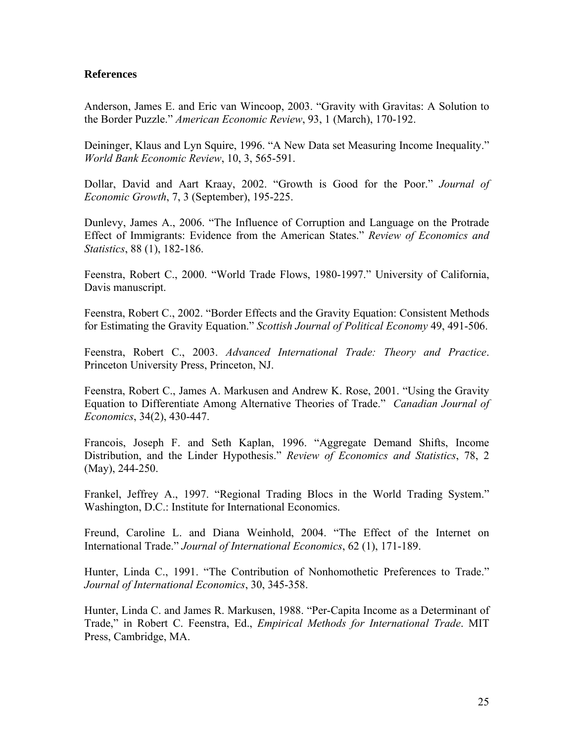### **References**

Anderson, James E. and Eric van Wincoop, 2003. "Gravity with Gravitas: A Solution to the Border Puzzle." *American Economic Review*, 93, 1 (March), 170-192.

Deininger, Klaus and Lyn Squire, 1996. "A New Data set Measuring Income Inequality." *World Bank Economic Review*, 10, 3, 565-591.

Dollar, David and Aart Kraay, 2002. "Growth is Good for the Poor." *Journal of Economic Growth*, 7, 3 (September), 195-225.

Dunlevy, James A., 2006. "The Influence of Corruption and Language on the Protrade Effect of Immigrants: Evidence from the American States." *Review of Economics and Statistics*, 88 (1), 182-186.

Feenstra, Robert C., 2000. "World Trade Flows, 1980-1997." University of California, Davis manuscript.

Feenstra, Robert C., 2002. "Border Effects and the Gravity Equation: Consistent Methods for Estimating the Gravity Equation." *Scottish Journal of Political Economy* 49, 491-506.

Feenstra, Robert C., 2003. *Advanced International Trade: Theory and Practice*. Princeton University Press, Princeton, NJ.

Feenstra, Robert C., James A. Markusen and Andrew K. Rose, 2001. "Using the Gravity Equation to Differentiate Among Alternative Theories of Trade." *Canadian Journal of Economics*, 34(2), 430-447.

Francois, Joseph F. and Seth Kaplan, 1996. "Aggregate Demand Shifts, Income Distribution, and the Linder Hypothesis." *Review of Economics and Statistics*, 78, 2 (May), 244-250.

Frankel, Jeffrey A., 1997. "Regional Trading Blocs in the World Trading System." Washington, D.C.: Institute for International Economics.

Freund, Caroline L. and Diana Weinhold, 2004. "The Effect of the Internet on International Trade." *Journal of International Economics*, 62 (1), 171-189.

Hunter, Linda C., 1991. "The Contribution of Nonhomothetic Preferences to Trade." *Journal of International Economics*, 30, 345-358.

Hunter, Linda C. and James R. Markusen, 1988. "Per-Capita Income as a Determinant of Trade," in Robert C. Feenstra, Ed., *Empirical Methods for International Trade*. MIT Press, Cambridge, MA.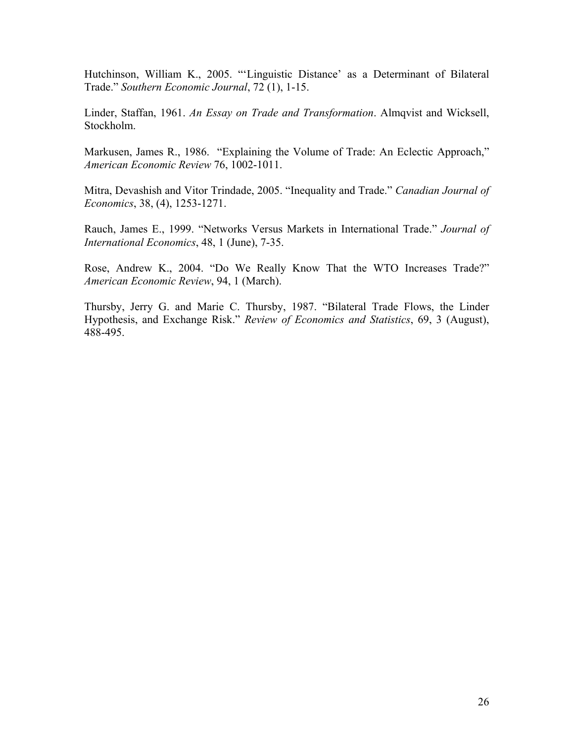Hutchinson, William K., 2005. "'Linguistic Distance' as a Determinant of Bilateral Trade." *Southern Economic Journal*, 72 (1), 1-15.

Linder, Staffan, 1961. *An Essay on Trade and Transformation*. Almqvist and Wicksell, Stockholm.

Markusen, James R., 1986. "Explaining the Volume of Trade: An Eclectic Approach," *American Economic Review* 76, 1002-1011.

Mitra, Devashish and Vitor Trindade, 2005. "Inequality and Trade." *Canadian Journal of Economics*, 38, (4), 1253-1271.

Rauch, James E., 1999. "Networks Versus Markets in International Trade." *Journal of International Economics*, 48, 1 (June), 7-35.

Rose, Andrew K., 2004. "Do We Really Know That the WTO Increases Trade?" *American Economic Review*, 94, 1 (March).

Thursby, Jerry G. and Marie C. Thursby, 1987. "Bilateral Trade Flows, the Linder Hypothesis, and Exchange Risk." *Review of Economics and Statistics*, 69, 3 (August), 488-495.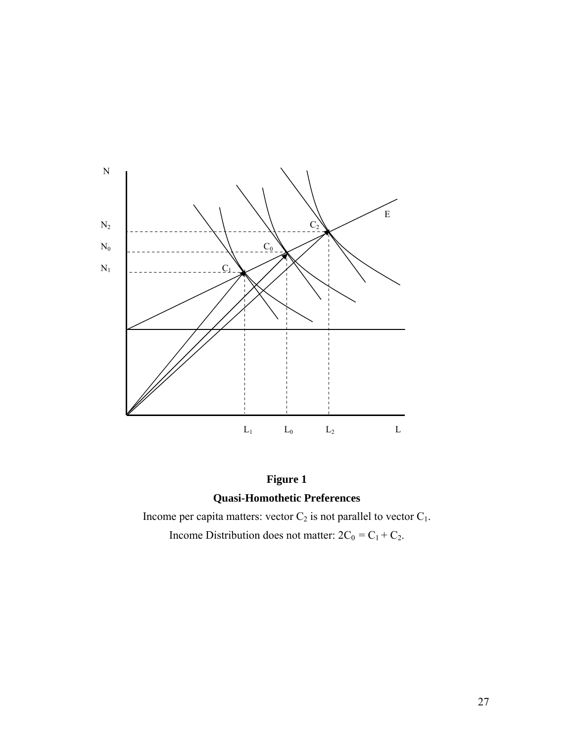

**Figure 1 Quasi-Homothetic Preferences** 

Income per capita matters: vector  $C_2$  is not parallel to vector  $C_1$ .

Income Distribution does not matter:  $2C_0 = C_1 + C_2$ .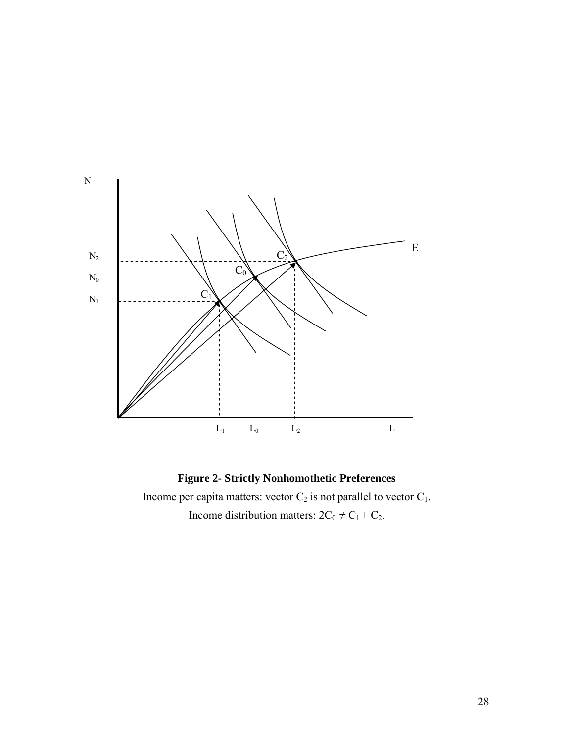

**Figure 2- Strictly Nonhomothetic Preferences** 

Income per capita matters: vector  $C_2$  is not parallel to vector  $C_1$ . Income distribution matters:  $2C_0 \neq C_1 + C_2$ .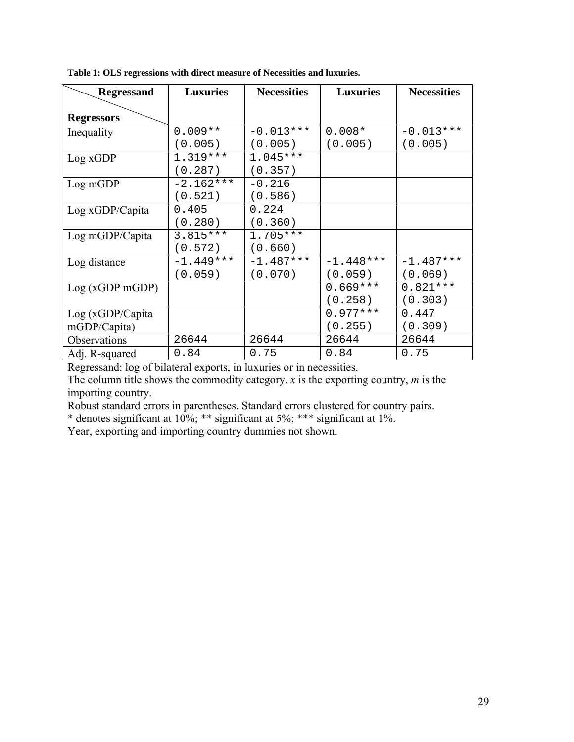| <b>Regressand</b> | <b>Luxuries</b> | <b>Necessities</b> | <b>Luxuries</b> | <b>Necessities</b> |  |
|-------------------|-----------------|--------------------|-----------------|--------------------|--|
|                   |                 |                    |                 |                    |  |
| <b>Regressors</b> |                 |                    |                 |                    |  |
| Inequality        | $0.009**$       | $-0.013***$        | $0.008*$        | $-0.013***$        |  |
|                   | (0.005)         | (0.005)            | (0.005)         | (0.005)            |  |
| Log xGDP          | $1.319***$      | $1.045***$         |                 |                    |  |
|                   | (0.287)         | (0.357)            |                 |                    |  |
| Log mGDP          | $-2.162***$     | $-0.216$           |                 |                    |  |
|                   | (0.521)         | (0.586)            |                 |                    |  |
| Log xGDP/Capita   | 0.405           | 0.224              |                 |                    |  |
|                   | (0.280)         | (0.360)            |                 |                    |  |
| Log mGDP/Capita   | $3.815***$      | $1.705***$         |                 |                    |  |
|                   | (0.572)         | (0.660)            |                 |                    |  |
| Log distance      | $-1.449***$     | $-1.487***$        | $-1.448***$     | $-1.487***$        |  |
|                   | (0.059)         | (0.070)            | (0.059)         | (0.069)            |  |
| Log(xGDP mGDP)    |                 |                    | $0.669***$      | $0.821***$         |  |
|                   |                 |                    | (0.258)         | (0.303)            |  |
| Log(xGDP/Capita)  |                 |                    | $0.977***$      | 0.447              |  |
| mGDP/Capita)      |                 |                    | (0.255)         | (0.309)            |  |
| Observations      | 26644           | 26644              | 26644           | 26644              |  |
| Adj. R-squared    | 0.84            | 0.75               | 0.84            | 0.75               |  |

**Table 1: OLS regressions with direct measure of Necessities and luxuries.** 

Regressand: log of bilateral exports, in luxuries or in necessities.

The column title shows the commodity category. *x* is the exporting country, *m* is the importing country.

Robust standard errors in parentheses. Standard errors clustered for country pairs.

\* denotes significant at 10%; \*\* significant at 5%; \*\*\* significant at 1%.

Year, exporting and importing country dummies not shown.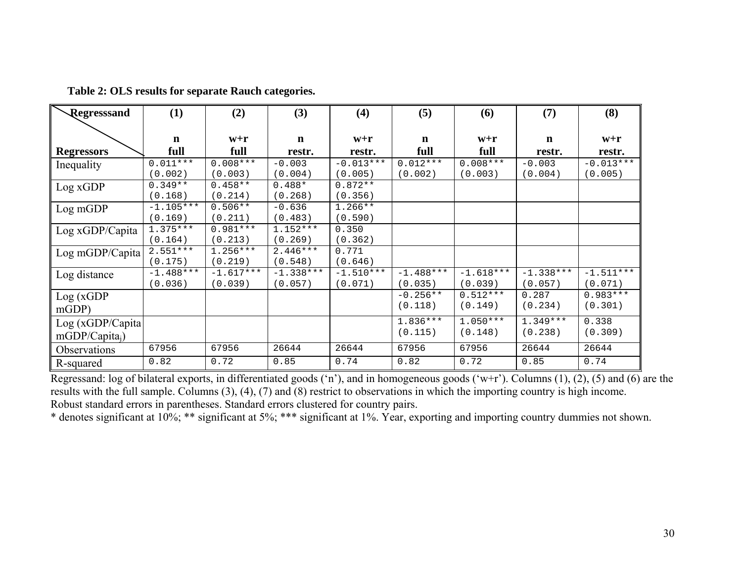| Regresssand       | (1)         | (2)         | (3)         | (4)         | (5)         | (6)         | (7)         | (8)         |
|-------------------|-------------|-------------|-------------|-------------|-------------|-------------|-------------|-------------|
|                   |             |             |             |             |             |             |             |             |
|                   | $\mathbf n$ | $W+{\bf r}$ | $\mathbf n$ | $W+{\bf r}$ | $\mathbf n$ | $W+{\bf r}$ | $\mathbf n$ | $W+{\bf r}$ |
| <b>Regressors</b> | full        | full        | restr.      | restr.      | full        | full        | restr.      | restr.      |
| Inequality        | $0.011***$  | $0.008***$  | $-0.003$    | $-0.013***$ | $0.012***$  | $0.008***$  | $-0.003$    | $-0.013***$ |
|                   | (0.002)     | (0.003)     | (0.004)     | (0.005)     | (0.002)     | (0.003)     | (0.004)     | (0.005)     |
| Log xGDP          | $0.349**$   | $0.458**$   | $0.488*$    | $0.872**$   |             |             |             |             |
|                   | (0.168)     | (0.214)     | (0.268)     | (0.356)     |             |             |             |             |
| Log mGDP          | $-1.105***$ | $0.506**$   | $-0.636$    | $1.266**$   |             |             |             |             |
|                   | (0.169)     | (0.211)     | (0.483)     | (0.590)     |             |             |             |             |
| Log xGDP/Capita   | $1.375***$  | $0.981***$  | $1.152***$  | 0.350       |             |             |             |             |
|                   | (0.164)     | (0.213)     | (0.269)     | (0.362)     |             |             |             |             |
| Log mGDP/Capita   | $2.551***$  | $1.256***$  | $2.446***$  | 0.771       |             |             |             |             |
|                   | (0.175)     | (0.219)     | (0.548)     | (0.646)     |             |             |             |             |
| Log distance      | $-1.488***$ | $-1.617***$ | $-1.338***$ | $-1.510***$ | $-1.488***$ | $-1.618***$ | $-1.338***$ | $-1.511***$ |
|                   | (0.036)     | (0.039)     | (0.057)     | (0.071)     | (0.035)     | (0.039)     | (0.057)     | (0.071)     |
| Log(xGDP)         |             |             |             |             | $-0.256**$  | $0.512***$  | 0.287       | $0.983***$  |
| mGDP              |             |             |             |             | (0.118)     | (0.149)     | (0.234)     | (0.301)     |
| Log(xGDP/Capita)  |             |             |             |             | $1.836***$  | $1.050***$  | $1.349***$  | 0.338       |
| $mGDP/Capita_i)$  |             |             |             |             | (0.115)     | (0.148)     | (0.238)     | (0.309)     |
| Observations      | 67956       | 67956       | 26644       | 26644       | 67956       | 67956       | 26644       | 26644       |
| R-squared         | 0.82        | 0.72        | 0.85        | 0.74        | 0.82        | 0.72        | 0.85        | 0.74        |

**Table 2: OLS results for separate Rauch categories.**

Regressand: log of bilateral exports, in differentiated goods ('n'), and in homogeneous goods ('w+r'). Columns (1), (2), (5) and (6) are the results with the full sample. Columns (3), (4), (7) and (8) restrict to observations in which the importing country is high income. Robust standard errors in parentheses. Standard errors clustered for country pairs.

\* denotes significant at 10%; \*\* significant at 5%; \*\*\* significant at 1%. Year, exporting and importing country dummies not shown.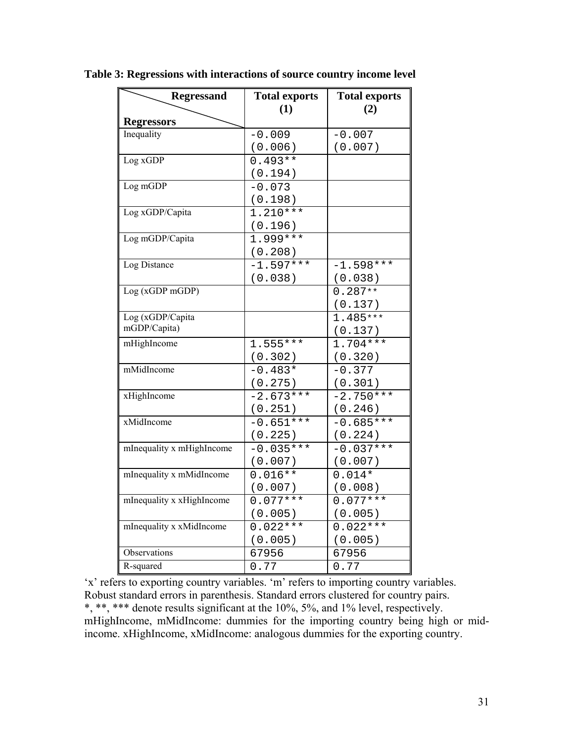| <b>Regressand</b>         | <b>Total exports</b> | <b>Total exports</b> |
|---------------------------|----------------------|----------------------|
|                           | (1)                  | (2)                  |
| <b>Regressors</b>         |                      |                      |
| Inequality                | $-0.009$             | $-0.007$             |
|                           | (0.006)              | (0.007)              |
| Log xGDP                  | $0.493**$            |                      |
|                           | (0.194)              |                      |
| Log mGDP                  | $-0.073$             |                      |
|                           | (0.198)              |                      |
| Log xGDP/Capita           | $1.210***$           |                      |
|                           | (0.196)              |                      |
| Log mGDP/Capita           | $1.999***$           |                      |
|                           | (0.208)              |                      |
| Log Distance              | $-1.597***$          | $-1.598***$          |
|                           | (0.038)              | (0.038)              |
| Log (xGDP mGDP)           |                      | $0.287**$            |
|                           |                      | (0.137)              |
| Log (xGDP/Capita          |                      | $1.485***$           |
| mGDP/Capita)              |                      | (0.137)              |
| mHighIncome               | $1.555***$           | $1.704***$           |
|                           | (0.302)              | (0.320)              |
| mMidIncome                | $-0.483*$            | $-0.377$             |
|                           | (0.275)              | (0.301)              |
| xHighIncome               | $-2.673***$          | $-2.750***$          |
|                           | (0.251)              | (0.246)              |
| xMidIncome                | $-0.651***$          | $-0.685***$          |
|                           | (0.225)              | (0.224)              |
| mInequality x mHighIncome | $-0.035***$          | $-0.037***$          |
|                           | (0.007)              | (0.007)              |
| mInequality x mMidIncome  | $0.016**$            | $0.014*$             |
|                           | (0.007)              | (0.008)              |
| mInequality x xHighIncome | $0.077***$           | $0.077***$           |
|                           | (0.005)              | (0.005)              |
| mInequality x xMidIncome  | $0.022***$           | $0.022***$           |
|                           | (0.005)              | (0.005)              |
| Observations              | 67956                | 67956                |
| R-squared                 | 0.77                 | 0.77                 |

**Table 3: Regressions with interactions of source country income level**

'x' refers to exporting country variables. 'm' refers to importing country variables. Robust standard errors in parenthesis. Standard errors clustered for country pairs. \*, \*\*, \*\*\* denote results significant at the 10%, 5%, and 1% level, respectively. mHighIncome, mMidIncome: dummies for the importing country being high or midincome. xHighIncome, xMidIncome: analogous dummies for the exporting country.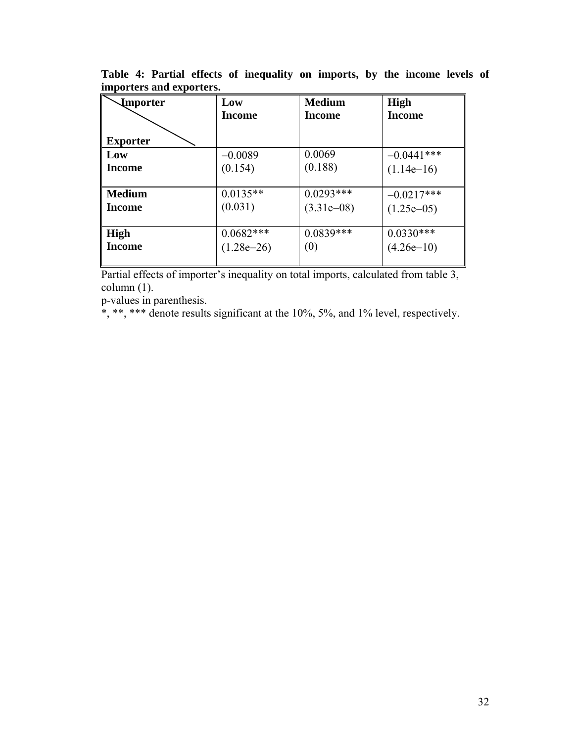| <b>Importer</b> | Low          | <b>Medium</b> | <b>High</b>   |
|-----------------|--------------|---------------|---------------|
|                 | Income       | Income        | <b>Income</b> |
|                 |              |               |               |
| <b>Exporter</b> |              |               |               |
| Low             | $-0.0089$    | 0.0069        | $-0.0441***$  |
| Income          | (0.154)      | (0.188)       | $(1.14e-16)$  |
|                 |              |               |               |
| <b>Medium</b>   | $0.0135**$   | $0.0293***$   | $-0.0217***$  |
| Income          | (0.031)      | $(3.31e-08)$  | $(1.25e-05)$  |
|                 |              |               |               |
| High            | $0.0682***$  | $0.0839***$   | $0.0330***$   |
| Income          | $(1.28e-26)$ | (0)           | $(4.26e-10)$  |
|                 |              |               |               |

**Table 4: Partial effects of inequality on imports, by the income levels of importers and exporters.** 

Partial effects of importer's inequality on total imports, calculated from table 3, column (1).

p-values in parenthesis.

 $*, **$ , \*\*\* denote results significant at the 10%, 5%, and 1% level, respectively.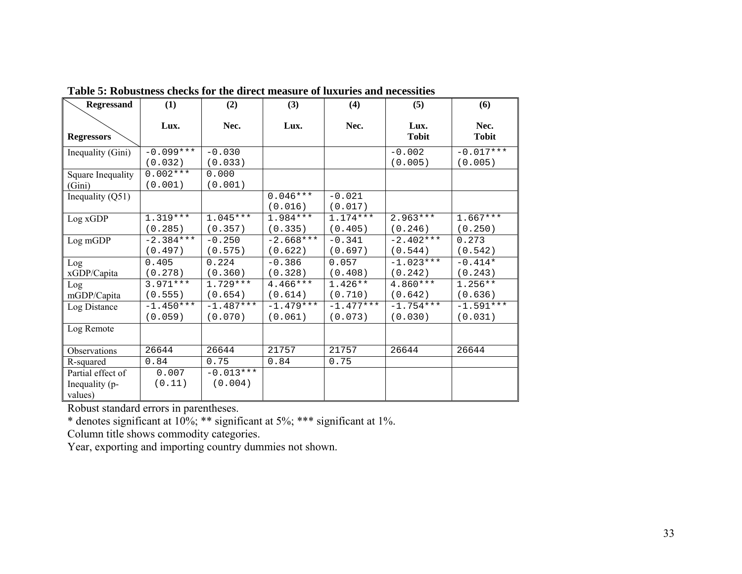| <b>Regressand</b>           | (1)                   | (2)              | (3)         | (4)         | (5)                  | (6)                  |
|-----------------------------|-----------------------|------------------|-------------|-------------|----------------------|----------------------|
| <b>Regressors</b>           | Lux.                  | Nec.             | Lux.        | Nec.        | Lux.<br><b>Tobit</b> | Nec.<br><b>Tobit</b> |
| Inequality (Gini)           | $-0.099***$           | $-0.030$         |             |             | $-0.002$             | $-0.017***$          |
|                             | (0.032)               | (0.033)          |             |             | (0.005)              | (0.005)              |
| Square Inequality<br>(Gini) | $0.002***$<br>(0.001) | 0.000<br>(0.001) |             |             |                      |                      |
| Inequality $(Q51)$          |                       |                  | $0.046***$  | $-0.021$    |                      |                      |
|                             |                       |                  | (0.016)     | (0.017)     |                      |                      |
| Log xGDP                    | $1.319***$            | $1.045***$       | 1.984 ***   | $1.174***$  | $2.963***$           | $1.667***$           |
|                             | (0.285)               | (0.357)          | (0.335)     | (0.405)     | (0.246)              | (0.250)              |
| Log mGDP                    | $-2.384***$           | $-0.250$         | $-2.668***$ | $-0.341$    | $-2.402***$          | 0.273                |
|                             | (0.497)               | (0.575)          | (0.622)     | (0.697)     | (0.544)              | (0.542)              |
| Log                         | 0.405                 | 0.224            | $-0.386$    | 0.057       | $-1.023***$          | $-0.414*$            |
| xGDP/Capita                 | (0.278)               | (0.360)          | (0.328)     | (0.408)     | (0.242)              | (0.243)              |
| Log                         | $3.971***$            | $1.729***$       | $4.466***$  | $1.426**$   | $4.860***$           | $1.256**$            |
| mGDP/Capita                 | (0.555)               | (0.654)          | (0.614)     | (0.710)     | (0.642)              | (0.636)              |
| Log Distance                | $-1.450***$           | $-1.487***$      | $-1.479***$ | $-1.477***$ | $-1.754***$          | $-1.591***$          |
|                             | (0.059)               | (0.070)          | (0.061)     | (0.073)     | (0.030)              | (0.031)              |
| Log Remote                  |                       |                  |             |             |                      |                      |
| Observations                | 26644                 | 26644            | 21757       | 21757       | 26644                | 26644                |
| R-squared                   | 0.84                  | 0.75             | 0.84        | 0.75        |                      |                      |
| Partial effect of           | 0.007                 | $-0.013***$      |             |             |                      |                      |
| Inequality (p-              | (0.11)                | (0.004)          |             |             |                      |                      |
| values)                     |                       |                  |             |             |                      |                      |

**Table 5: Robustness checks for the direct measure of luxuries and necessities** 

Robust standard errors in parentheses.

\* denotes significant at 10%; \*\* significant at 5%; \*\*\* significant at 1%.

Column title shows commodity categories.

Year, exporting and importing country dummies not shown.